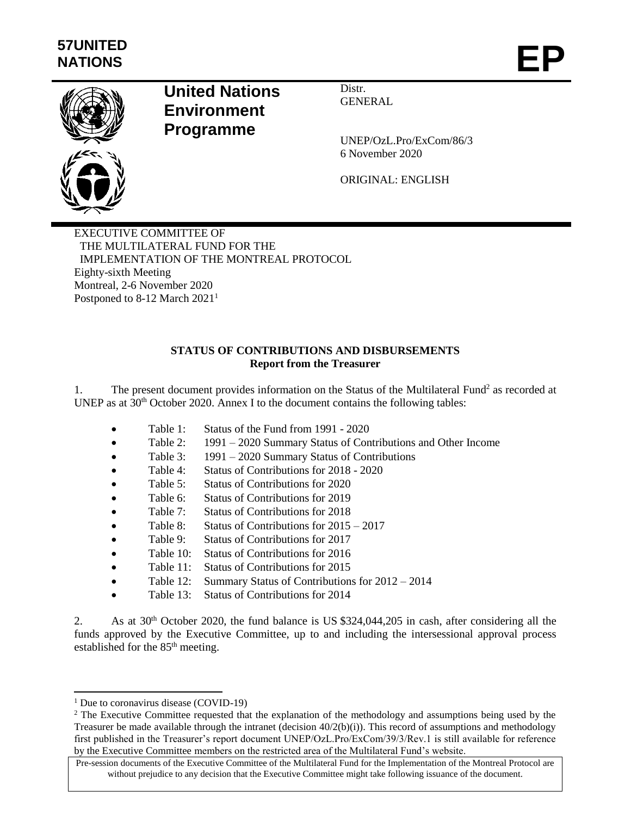

# **United Nations Environment Programme**

Distr. GENERAL

UNEP/OzL.Pro/ExCom/86/3 6 November 2020

ORIGINAL: ENGLISH

EXECUTIVE COMMITTEE OF THE MULTILATERAL FUND FOR THE IMPLEMENTATION OF THE MONTREAL PROTOCOL Eighty-sixth Meeting Montreal, 2-6 November 2020 Postponed to 8-12 March 2021<sup>1</sup>

# **STATUS OF CONTRIBUTIONS AND DISBURSEMENTS Report from the Treasurer**

1. The present document provides information on the Status of the Multilateral Fund<sup>2</sup> as recorded at UNEP as at  $30<sup>th</sup>$  October 2020. Annex I to the document contains the following tables:

- Table 1: Status of the Fund from 1991 2020
- Table 2: 1991 2020 Summary Status of Contributions and Other Income
- Table 3: 1991 2020 Summary Status of Contributions
- Table 4: Status of Contributions for 2018 2020
- Table 5: Status of Contributions for 2020
- Table 6: Status of Contributions for 2019
- Table 7: Status of Contributions for 2018
- Table 8: Status of Contributions for 2015 2017
- Table 9: Status of Contributions for 2017
- Table 10: Status of Contributions for 2016
- Table 11: Status of Contributions for 2015
- Table 12: Summary Status of Contributions for  $2012 2014$
- Table 13: Status of Contributions for 2014

2. As at 30<sup>th</sup> October 2020, the fund balance is US \$324,044,205 in cash, after considering all the funds approved by the Executive Committee, up to and including the intersessional approval process established for the 85<sup>th</sup> meeting.

l <sup>1</sup> Due to coronavirus disease (COVID-19)

<sup>&</sup>lt;sup>2</sup> The Executive Committee requested that the explanation of the methodology and assumptions being used by the Treasurer be made available through the intranet (decision  $40/2(b)(i)$ ). This record of assumptions and methodology first published in the Treasurer's report document UNEP/OzL.Pro/ExCom/39/3/Rev.1 is still available for reference by the Executive Committee members on the restricted area of the Multilateral Fund's website.

Pre-session documents of the Executive Committee of the Multilateral Fund for the Implementation of the Montreal Protocol are without prejudice to any decision that the Executive Committee might take following issuance of the document.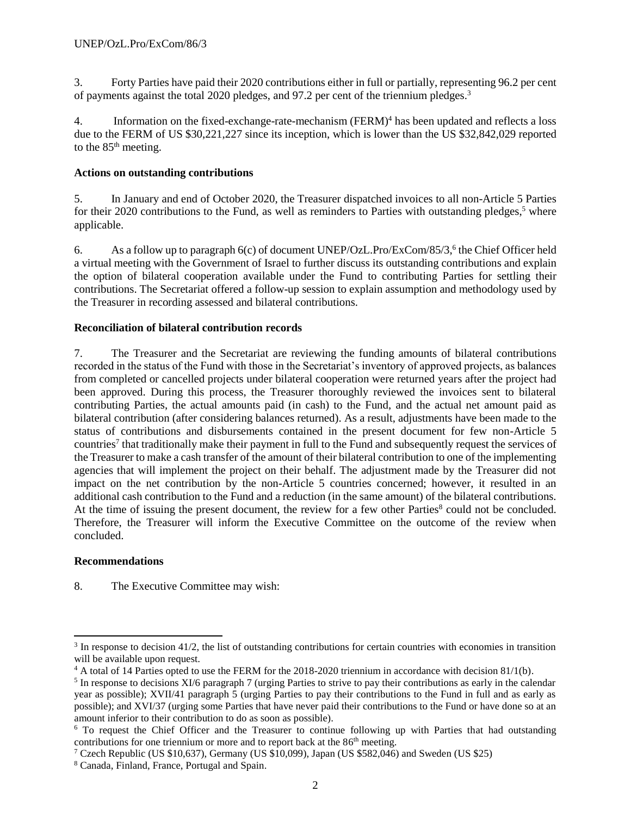3. Forty Parties have paid their 2020 contributions either in full or partially, representing 96.2 per cent of payments against the total 2020 pledges, and 97.2 per cent of the triennium pledges.<sup>3</sup>

4. Information on the fixed-exchange-rate-mechanism (FERM) <sup>4</sup> has been updated and reflects a loss due to the FERM of US \$30,221,227 since its inception, which is lower than the US \$32,842,029 reported to the  $85<sup>th</sup>$  meeting.

# **Actions on outstanding contributions**

5. In January and end of October 2020, the Treasurer dispatched invoices to all non-Article 5 Parties for their 2020 contributions to the Fund, as well as reminders to Parties with outstanding pledges,<sup>5</sup> where applicable.

6. As a follow up to paragraph  $6(c)$  of document UNEP/OzL.Pro/ExCom/85/3,<sup>6</sup> the Chief Officer held a virtual meeting with the Government of Israel to further discuss its outstanding contributions and explain the option of bilateral cooperation available under the Fund to contributing Parties for settling their contributions. The Secretariat offered a follow-up session to explain assumption and methodology used by the Treasurer in recording assessed and bilateral contributions.

# **Reconciliation of bilateral contribution records**

7. The Treasurer and the Secretariat are reviewing the funding amounts of bilateral contributions recorded in the status of the Fund with those in the Secretariat's inventory of approved projects, as balances from completed or cancelled projects under bilateral cooperation were returned years after the project had been approved. During this process, the Treasurer thoroughly reviewed the invoices sent to bilateral contributing Parties, the actual amounts paid (in cash) to the Fund, and the actual net amount paid as bilateral contribution (after considering balances returned). As a result, adjustments have been made to the status of contributions and disbursements contained in the present document for few non-Article 5 countries<sup>7</sup> that traditionally make their payment in full to the Fund and subsequently request the services of the Treasurer to make a cash transfer of the amount of their bilateral contribution to one of the implementing agencies that will implement the project on their behalf. The adjustment made by the Treasurer did not impact on the net contribution by the non-Article 5 countries concerned; however, it resulted in an additional cash contribution to the Fund and a reduction (in the same amount) of the bilateral contributions. At the time of issuing the present document, the review for a few other Parties<sup>8</sup> could not be concluded. Therefore, the Treasurer will inform the Executive Committee on the outcome of the review when concluded.

# **Recommendations**

l

8. The Executive Committee may wish:

<sup>&</sup>lt;sup>3</sup> In response to decision 41/2, the list of outstanding contributions for certain countries with economies in transition will be available upon request.

<sup>4</sup> A total of 14 Parties opted to use the FERM for the 2018-2020 triennium in accordance with decision 81/1(b).

 $<sup>5</sup>$  In response to decisions XI/6 paragraph 7 (urging Parties to strive to pay their contributions as early in the calendar</sup> year as possible); XVII/41 paragraph 5 (urging Parties to pay their contributions to the Fund in full and as early as possible); and XVI/37 (urging some Parties that have never paid their contributions to the Fund or have done so at an amount inferior to their contribution to do as soon as possible).

<sup>&</sup>lt;sup>6</sup> To request the Chief Officer and the Treasurer to continue following up with Parties that had outstanding contributions for one triennium or more and to report back at the 86<sup>th</sup> meeting.

<sup>&</sup>lt;sup>7</sup> Czech Republic (US \$10,637), Germany (US \$10,099), Japan (US \$582,046) and Sweden (US \$25)

<sup>8</sup> Canada, Finland, France, Portugal and Spain.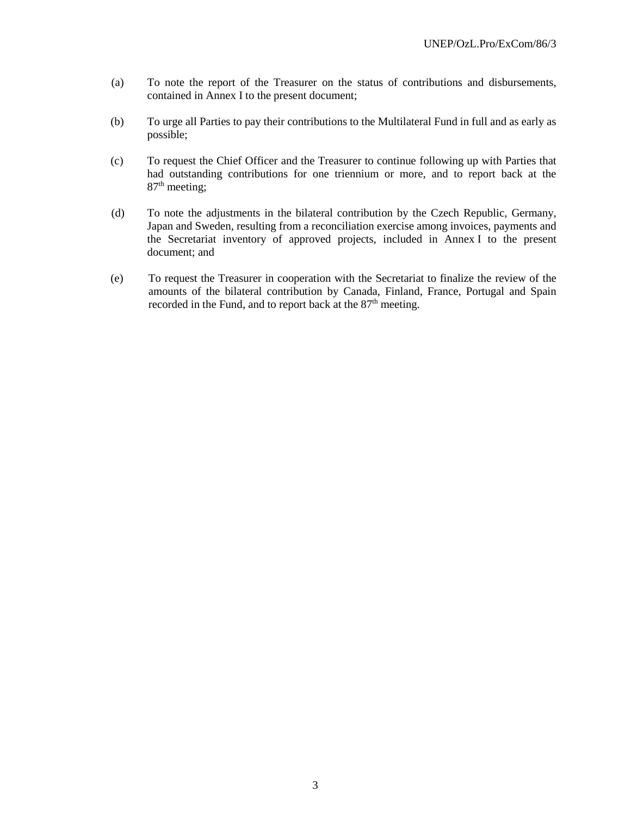- (a) To note the report of the Treasurer on the status of contributions and disbursements, contained in Annex I to the present document;
- (b) To urge all Parties to pay their contributions to the Multilateral Fund in full and as early as possible;
- (c) To request the Chief Officer and the Treasurer to continue following up with Parties that had outstanding contributions for one triennium or more, and to report back at the 87<sup>th</sup> meeting;
- (d) To note the adjustments in the bilateral contribution by the Czech Republic, Germany, Japan and Sweden, resulting from a reconciliation exercise among invoices, payments and the Secretariat inventory of approved projects, included in Annex I to the present document; and
- (e) To request the Treasurer in cooperation with the Secretariat to finalize the review of the amounts of the bilateral contribution by Canada, Finland, France, Portugal and Spain recorded in the Fund, and to report back at the 87<sup>th</sup> meeting.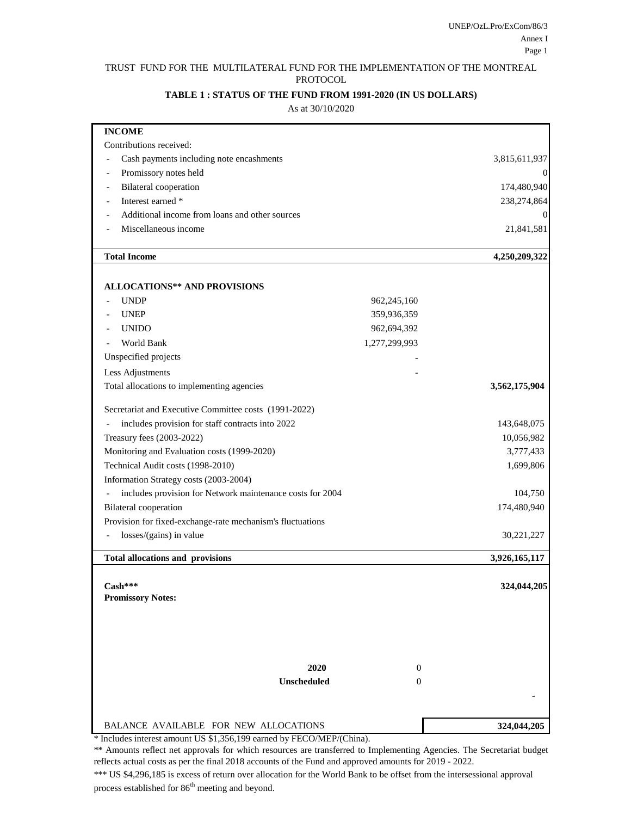#### TRUST FUND FOR THE MULTILATERAL FUND FOR THE IMPLEMENTATION OF THE MONTREAL PROTOCOL

#### **TABLE 1 : STATUS OF THE FUND FROM 1991-2020 (IN US DOLLARS)**

#### As at 30/10/2020

| <b>INCOME</b>                                              |                                |               |
|------------------------------------------------------------|--------------------------------|---------------|
| Contributions received:                                    |                                |               |
| Cash payments including note encashments                   |                                | 3,815,611,937 |
| Promissory notes held                                      |                                |               |
| <b>Bilateral</b> cooperation                               |                                | 174,480,940   |
| Interest earned *                                          |                                | 238,274,864   |
| Additional income from loans and other sources             |                                | $\theta$      |
| Miscellaneous income                                       |                                | 21,841,581    |
|                                                            |                                |               |
| <b>Total Income</b>                                        |                                | 4,250,209,322 |
| <b>ALLOCATIONS** AND PROVISIONS</b>                        |                                |               |
| <b>UNDP</b>                                                | 962,245,160                    |               |
| <b>UNEP</b>                                                | 359,936,359                    |               |
| <b>UNIDO</b>                                               | 962,694,392                    |               |
| World Bank                                                 | 1,277,299,993                  |               |
| Unspecified projects                                       |                                |               |
|                                                            |                                |               |
| Less Adjustments                                           |                                |               |
| Total allocations to implementing agencies                 |                                | 3,562,175,904 |
| Secretariat and Executive Committee costs (1991-2022)      |                                |               |
| includes provision for staff contracts into 2022           |                                | 143,648,075   |
| Treasury fees (2003-2022)                                  |                                | 10,056,982    |
| Monitoring and Evaluation costs (1999-2020)                |                                | 3,777,433     |
| Technical Audit costs (1998-2010)                          |                                | 1,699,806     |
| Information Strategy costs (2003-2004)                     |                                |               |
| includes provision for Network maintenance costs for 2004  |                                | 104,750       |
| <b>Bilateral</b> cooperation                               |                                | 174,480,940   |
| Provision for fixed-exchange-rate mechanism's fluctuations |                                |               |
| losses/(gains) in value                                    |                                | 30,221,227    |
| <b>Total allocations and provisions</b>                    |                                | 3,926,165,117 |
|                                                            |                                |               |
| Cash***                                                    |                                | 324,044,205   |
| <b>Promissory Notes:</b>                                   |                                |               |
|                                                            |                                |               |
|                                                            |                                |               |
|                                                            |                                |               |
|                                                            |                                |               |
| 2020                                                       | $\mathbf{0}$<br>$\overline{0}$ |               |
| Unscheduled                                                |                                |               |
|                                                            |                                |               |
| BALANCE AVAILABLE FOR NEW ALLOCATIONS                      |                                | 324,044,205   |

\* Includes interest amount US \$1,356,199 earned by FECO/MEP/(China).

\*\* Amounts reflect net approvals for which resources are transferred to Implementing Agencies. The Secretariat budget reflects actual costs as per the final 2018 accounts of the Fund and approved amounts for 2019 - 2022.

\*\*\* US \$4,296,185 is excess of return over allocation for the World Bank to be offset from the intersessional approval process established for 86<sup>th</sup> meeting and beyond.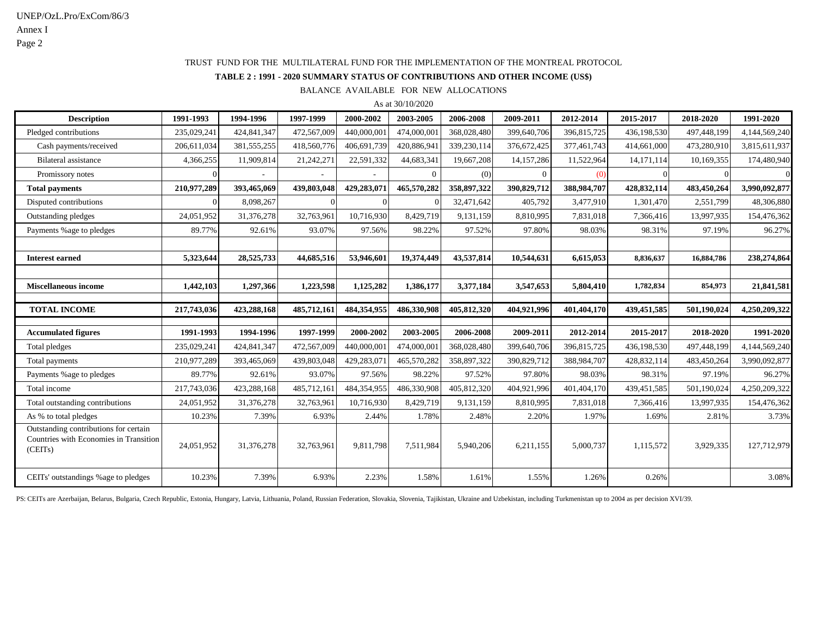#### TRUST FUND FOR THE MULTILATERAL FUND FOR THE IMPLEMENTATION OF THE MONTREAL PROTOCOL

**TABLE 2 : 1991 - 2020 SUMMARY STATUS OF CONTRIBUTIONS AND OTHER INCOME (US\$)**

BALANCE AVAILABLE FOR NEW ALLOCATIONS

As at 30/10/2020

| <b>Description</b>                                                                         | 1991-1993   | 1994-1996     | 1997-1999   | 2000-2002   | 2003-2005      | 2006-2008   | 2009-2011    | 2012-2014   | 2015-2017     | 2018-2020   | 1991-2020     |
|--------------------------------------------------------------------------------------------|-------------|---------------|-------------|-------------|----------------|-------------|--------------|-------------|---------------|-------------|---------------|
| Pledged contributions                                                                      | 235,029,241 | 424,841,347   | 472,567,009 | 440,000,001 | 474,000,001    | 368,028,480 | 399,640,706  | 396,815,725 | 436,198,530   | 497,448,199 | 4,144,569,240 |
| Cash payments/received                                                                     | 206,611,034 | 381, 555, 255 | 418,560,776 | 406,691,739 | 420,886,941    | 339,230,114 | 376,672,425  | 377,461,743 | 414,661,000   | 473,280,910 | 3,815,611,937 |
| <b>Bilateral</b> assistance                                                                | 4,366,255   | 11,909,814    | 21,242,271  | 22,591,332  | 44,683,341     | 19,667,208  | 14, 157, 286 | 11,522,964  | 14, 171, 114  | 10,169,355  | 174,480,940   |
| Promissory notes                                                                           |             |               |             |             | $\overline{0}$ | (0)         | $\Omega$     | (0)         | $\Omega$      |             | $\theta$      |
| <b>Total payments</b>                                                                      | 210,977,289 | 393,465,069   | 439,803,048 | 429,283,071 | 465,570,282    | 358,897,322 | 390,829,712  | 388,984,707 | 428,832,114   | 483,450,264 | 3,990,092,877 |
| Disputed contributions                                                                     |             | 8,098,267     |             |             |                | 32,471,642  | 405,792      | 3,477,910   | 1,301,470     | 2,551,799   | 48,306,880    |
| Outstanding pledges                                                                        | 24,051,952  | 31,376,278    | 32,763,961  | 10,716,930  | 8,429,719      | 9,131,159   | 8,810,995    | 7,831,018   | 7,366,416     | 13,997,935  | 154,476,362   |
| Payments % age to pledges                                                                  | 89.77%      | 92.61%        | 93.07%      | 97.56%      | 98.22%         | 97.52%      | 97.80%       | 98.03%      | 98.31%        | 97.19%      | 96.27%        |
|                                                                                            |             |               |             |             |                |             |              |             |               |             |               |
| <b>Interest earned</b>                                                                     | 5,323,644   | 28,525,733    | 44,685,516  | 53,946,601  | 19,374,449     | 43,537,814  | 10,544,631   | 6,615,053   | 8,836,637     | 16,884,786  | 238,274,864   |
|                                                                                            |             |               |             |             |                |             |              |             |               |             |               |
| <b>Miscellaneous income</b>                                                                | 1,442,103   | 1,297,366     | 1,223,598   | 1,125,282   | 1,386,177      | 3,377,184   | 3,547,653    | 5,804,410   | 1,782,834     | 854,973     | 21,841,581    |
|                                                                                            |             |               |             |             |                |             |              |             |               |             |               |
| <b>TOTAL INCOME</b>                                                                        | 217,743,036 | 423,288,168   | 485,712,161 | 484,354,955 | 486,330,908    | 405,812,320 | 404,921,996  | 401.404.170 | 439,451,585   | 501,190,024 | 4,250,209,322 |
| <b>Accumulated figures</b>                                                                 | 1991-1993   | 1994-1996     | 1997-1999   | 2000-2002   | 2003-2005      | 2006-2008   | 2009-2011    | 2012-2014   | 2015-2017     | 2018-2020   | 1991-2020     |
| Total pledges                                                                              | 235,029,241 | 424,841,347   | 472,567,009 | 440,000,001 | 474,000,001    | 368,028,480 | 399,640,706  | 396,815,725 | 436,198,530   | 497,448,199 | 4,144,569,240 |
| Total payments                                                                             | 210,977,289 | 393,465,069   | 439,803,048 | 429,283,071 | 465,570,282    | 358,897,322 | 390,829,712  | 388,984,707 | 428,832,114   | 483,450,264 | 3,990,092,877 |
| Payments % age to pledges                                                                  | 89.77%      | 92.61%        | 93.07%      | 97.56%      | 98.22%         | 97.52%      | 97.80%       | 98.03%      | 98.31%        | 97.19%      | 96.27%        |
| Total income                                                                               | 217,743,036 | 423,288,168   | 485,712,161 | 484,354,955 | 486,330,908    | 405,812,320 | 404,921,996  | 401,404,170 | 439, 451, 585 | 501,190,024 | 4,250,209,322 |
| Total outstanding contributions                                                            | 24,051,952  | 31,376,278    | 32,763,961  | 10,716,930  | 8,429,719      | 9,131,159   | 8,810,995    | 7,831,018   | 7,366,416     | 13,997,935  | 154,476,362   |
| As % to total pledges                                                                      | 10.23%      | 7.39%         | 6.93%       | 2.44%       | 1.78%          | 2.48%       | 2.20%        | 1.97%       | 1.69%         | 2.81%       | 3.73%         |
| Outstanding contributions for certain<br>Countries with Economies in Transition<br>(CEITs) | 24,051,952  | 31,376,278    | 32,763,961  | 9,811,798   | 7,511,984      | 5,940,206   | 6,211,155    | 5,000,737   | 1,115,572     | 3,929,335   | 127,712,979   |
| CEITs' outstandings % age to pledges                                                       | 10.23%      | 7.39%         | 6.93%       | 2.23%       | 1.58%          | 1.61%       | 1.55%        | 1.26%       | 0.26%         |             | 3.08%         |

PS: CEITs are Azerbaijan, Belarus, Bulgaria, Czech Republic, Estonia, Hungary, Latvia, Lithuania, Poland, Russian Federation, Slovakia, Slovenia, Tajikistan, Ukraine and Uzbekistan, including Turkmenistan up to 2004 as per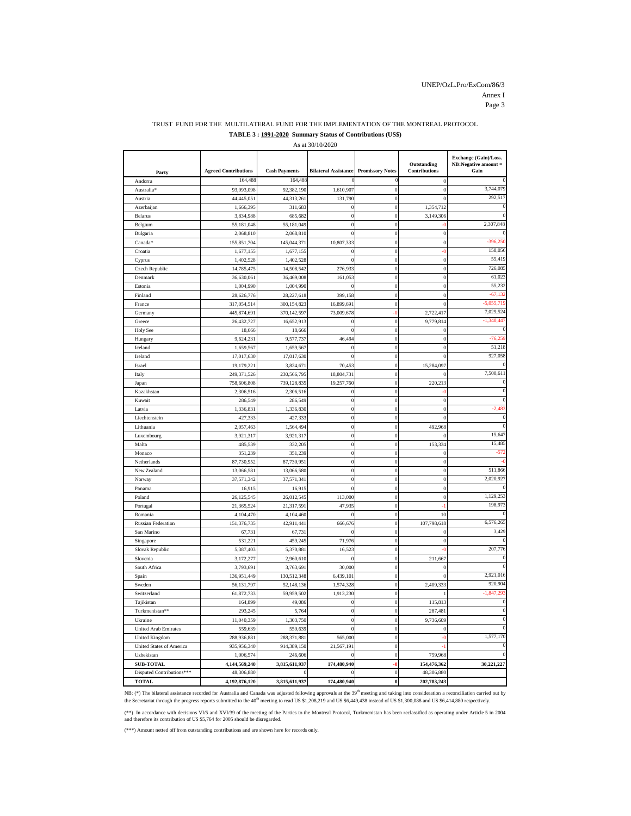#### TRUST FUND FOR THE MULTILATERAL FUND FOR THE IMPLEMENTATION OF THE MONTREAL PROTOCOL **TABLE 3 : 1991-2020 Summary Status of Contributions (US\$)**

As at 30/10/2020

| Party                           | <b>Agreed Contributions</b> | <b>Cash Payments</b> | <b>Bilateral Assistance</b> | <b>Promissory Notes</b>              | Outstanding<br><b>Contributions</b> | Exchange (Gain)/Loss.<br>NB:Negative amount =<br>Gain |
|---------------------------------|-----------------------------|----------------------|-----------------------------|--------------------------------------|-------------------------------------|-------------------------------------------------------|
| Andorra                         | 164,488                     | 164,488              |                             | $\Omega$                             | $\mathbf{0}$                        |                                                       |
| Australia*                      | 93,993,098                  | 92,382,190           | 1,610,907                   | $\boldsymbol{0}$                     | $\boldsymbol{0}$                    | 3,744,079                                             |
| Austria                         | 44,445,051                  | 44,313,261           | 131,790                     | $\bf{0}$                             | $\mathbf{0}$                        | 292,517                                               |
| Azerbaijan                      | 1,666,395                   | 311,683              | $\mathbf 0$                 | $\overline{0}$                       | 1,354,712                           |                                                       |
| Belarus                         | 3,834,988                   | 685,682              | $\mathcal{L}$               | $\bf{0}$                             | 3,149,306                           |                                                       |
| Belgium                         | 55,181,048                  | 55,181,049           | $\overline{0}$              | $\overline{0}$                       |                                     | 2,307,848                                             |
| Bulgaria                        | 2,068,810                   | 2,068,810            | $\overline{0}$              | $\mathbf{0}$                         | $\overline{0}$                      |                                                       |
| Canada®                         | 155,851,704                 | 145,044,37           | 10,807,333                  | $\mathbf{0}$                         | $\mathcal{L}$                       | $-396.25$                                             |
| Croatia                         | 1,677,155                   | 1,677,155            | C                           | $\boldsymbol{0}$                     | -0                                  | 158,056                                               |
| Cyprus                          | 1,402,528                   | 1,402,528            | $\mathbf{C}$                | $\mathbf{0}$                         | $\overline{0}$                      | 55,419                                                |
| Czech Republic                  | 14,785,475                  | 14,508,542           | 276,933                     | $\mathbf{0}$                         | $\mathbf{0}$                        | 726,085                                               |
| Denmark                         | 36,630,061                  | 36,469,008           | 161,053                     | $\mathbf 0$                          | $\mathbf{0}$                        | 61,023                                                |
| Estonia                         | 1,004,990                   | 1,004,990            | $\mathbf{C}$                | $\mathbf 0$                          | $\overline{0}$                      | 55,232                                                |
| Finland                         | 28,626,776                  | 28,227,618           | 399,158                     | $\mathbf 0$                          | $\overline{0}$                      | $-67,13$                                              |
| France                          | 317,054,514                 | 300,154,823          | 16,899,691                  | $\boldsymbol{0}$                     | $\overline{0}$                      | $-5,055,719$                                          |
| Germany                         | 445,874,691                 | 370,142,597          | 73,009,678                  | $-0$                                 | 2,722,417                           | 7,029,524                                             |
| Greece                          | 26,432,727                  | 16,652,913           | $\mathbf 0$                 | $\overline{0}$                       | 9,779,814                           | $-1,340,447$                                          |
| Holy See                        | 18,666                      | 18,666               | $\mathbf{C}$                | $\bf{0}$                             | $\mathbf 0$                         |                                                       |
| Hungary                         | 9,624,231                   | 9,577,737            | 46,494                      | $\overline{0}$                       | $\overline{0}$                      | $-76.25$                                              |
| Iceland                         | 1,659,567                   | 1,659,567            | C                           | $\boldsymbol{0}$                     | $\bf{0}$                            | 51,218                                                |
| Ireland                         | 17,017,630                  | 17,017,630           | $\mathbf{C}$                | $\overline{0}$                       | $\mathbf{C}$                        | 927,058                                               |
| Israel                          | 19,179,221                  | 3,824,671            | 70,453                      | $\bf{0}$                             | 15,284,097                          |                                                       |
| Italy                           | 249,371,526                 | 230,566,795          | 18,804,731                  | $\overline{0}$                       | $\overline{a}$                      | 7,500,611                                             |
| Japan                           | 758,606,808                 | 739,128,835          | 19,257,760                  | $\overline{0}$                       | 220,213                             |                                                       |
| Kazakhstan                      | 2,306,516                   | 2,306,516            | $\sqrt{ }$                  | $\overline{0}$                       |                                     |                                                       |
| Kuwait                          | 286,549                     | 286,549              | $\boldsymbol{0}$            | $\overline{0}$                       | $\bf{0}$                            |                                                       |
| Latvia                          | 1,336,831                   | 1,336,830            | $\boldsymbol{0}$            | $\mathbf{0}$                         | $\overline{0}$                      | $-2,483$                                              |
| Liechtenstein                   | 427,333                     | 427,333              | $\overline{0}$              | $\mathbf{0}$                         | $\overline{0}$                      | $\mathbf{C}$                                          |
| Lithuania                       | 2,057,463                   | 1,564,494            | $\overline{0}$              | $\mathbf{0}$                         | 492,968                             |                                                       |
| Luxembourg                      | 3,921,317                   | 3,921,317            | $\boldsymbol{0}$            | $\overline{0}$                       |                                     | 15,647                                                |
| Malta                           | 485,539                     | 332,205              | $\mathbf{C}$                | $\mathbf{0}$                         | 153,334                             | 15,485                                                |
| Monaco                          | 351,239                     | 351,239              | $\boldsymbol{0}$            | $\boldsymbol{0}$                     | $\boldsymbol{0}$                    | $-57$                                                 |
| Netherlands                     | 87,730,952                  | 87,730,951           | $\boldsymbol{0}$            | $\boldsymbol{0}$                     | $\boldsymbol{0}$                    |                                                       |
| New Zealand                     | 13,066,581                  | 13,066,580           | $\boldsymbol{0}$            | $\boldsymbol{0}$                     | $\boldsymbol{0}$                    | 511,866                                               |
| Norway                          | 37,571,342                  | 37,571,341           | $\boldsymbol{0}$            | $\boldsymbol{0}$                     | $\boldsymbol{0}$                    | 2,020,927                                             |
| Panama                          | 16,915                      | 16,915               | $\sqrt{2}$                  | $\boldsymbol{0}$                     | $\overline{0}$                      |                                                       |
| Poland                          | 26,125,545                  | 26,012,545           | 113,000                     | $\overline{0}$                       | $\overline{0}$                      | 1,129,253                                             |
| Portugal                        | 21,365,524                  | 21,317,591           | 47.935                      | $\overline{0}$                       | $\cdot$                             | 198,973                                               |
| Romania                         | 4,104,470                   | 4,104,460            | $\mathbf{C}$                | $\bf{0}$                             | 10                                  |                                                       |
| <b>Russian Federation</b>       | 151,376,735                 | 42,911,441           | 666,676                     | $\bf{0}$                             | 107,798,618                         | 6,576,265                                             |
| San Marino                      | 67,731                      | 67,731               | $\mathbf{C}$                | $\boldsymbol{0}$                     | $\boldsymbol{0}$                    | 3,429                                                 |
| Singapore                       | 531,221                     | 459,245              | 71,976                      | $\boldsymbol{0}$                     | $\Omega$                            | 207,776                                               |
| Slovak Republic                 | 5,387,403                   | 5,370,881            | 16,523<br>$\sqrt{ }$        | $\boldsymbol{0}$                     |                                     |                                                       |
| Slovenia                        | 3,172,277                   | 2,960,610            |                             | $\bf{0}$                             | 211,667                             |                                                       |
| South Africa                    | 3,793,691                   | 3,763,69             | 30,000                      | $\boldsymbol{0}$                     | $\overline{(\ }$<br>$\epsilon$      | 2,921,016                                             |
| Spain                           | 136,951,449                 | 130,512,348          | 6,439,101<br>1,574,328      | $\boldsymbol{0}$<br>$\boldsymbol{0}$ | 2,409,333                           | 920,904                                               |
| Sweden                          | 56,131,797                  | 52,148,136           |                             |                                      |                                     | $-1,847,29$                                           |
| Switzerland                     | 61,872,733                  | 59,959,502           | 1,913,230<br>$\sqrt{ }$     | $\boldsymbol{0}$                     |                                     |                                                       |
| Tajikistan                      | 164,899                     | 49,086               | $\overline{0}$              | $\boldsymbol{0}$<br>$\boldsymbol{0}$ | 115,813                             | $\mathbf{C}$                                          |
| Turkmenistan**<br>Ukraine       | 293,245<br>11,040,359       | 5,764<br>1,303,750   | $\overline{0}$              | $\bf{0}$                             | 287,481<br>9,736,609                |                                                       |
| <b>United Arab Emirates</b>     | 559,639                     | 559,639              | $\mathbf{0}$                | $\mathbf 0$                          | $\mathbf 0$                         |                                                       |
| <b>United Kingdom</b>           | 288,936,881                 | 288,371,881          | 565,000                     | $\mathbf 0$                          | ÷ť                                  | 1,577,170                                             |
| <b>United States of America</b> | 935,956,340                 | 914,389,150          | 21,567,191                  | $\overline{0}$                       |                                     |                                                       |
| Uzbekistan                      | 1,006,574                   | 246,606              | $\mathbf{0}$                | $\bf{0}$                             | 759,968                             |                                                       |
| <b>SUB-TOTAL</b>                | 4,144,569,240               | 3,815,611,937        | 174,480,940                 | ć,                                   | 154,476,362                         | 30,221,227                                            |
| Disputed Contributions***       | 48,306,880                  | $\overline{0}$       | $\mathbf{0}$                | $\bf{0}$                             | 48,306,880                          |                                                       |
| <b>TOTAL</b>                    | 4,192,876,120               | 3,815,611,937        | 174,480,940                 | $\bf{0}$                             | 202,783,243                         |                                                       |

NB: (\*) The bilateral assistance recorded for Australia and Canada was adjusted following approvals at the 39<sup>th</sup> meeting and taking into consideration a reconciliation carried out by<br>the Secretariat through the progress r

(\*\*) In accordance with decisions VL/5 and XVL/39 of the meeting of the Parties to the Montreal Protocol, Turkmenistan has been reclassified as operating under Article 5 in 2004<br>and therefore its contribution of US \$5,764

(\*\*\*) Amount netted off from outstanding contributions and are shown here for records only.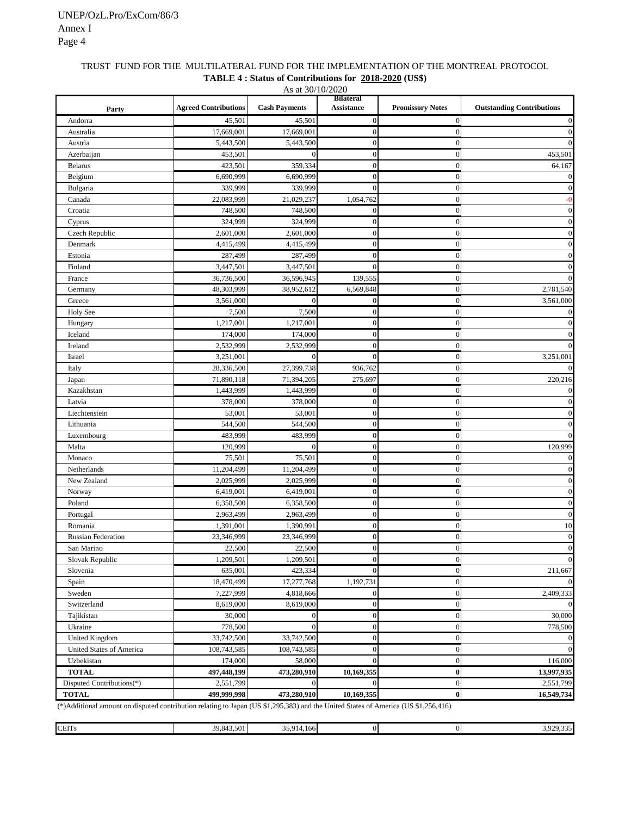#### TRUST FUND FOR THE MULTILATERAL FUND FOR THE IMPLEMENTATION OF THE MONTREAL PROTOCOL **TABLE 4 : Status of Contributions for 2018-2020 (US\$)**

| As at 30/10/2020          |                             |                      |                                       |                         |                                  |  |  |
|---------------------------|-----------------------------|----------------------|---------------------------------------|-------------------------|----------------------------------|--|--|
| Party                     | <b>Agreed Contributions</b> | <b>Cash Payments</b> | <b>Bilateral</b><br><b>Assistance</b> | <b>Promissory Notes</b> | <b>Outstanding Contributions</b> |  |  |
| Andorra                   | 45,501                      | 45,501               | $\overline{0}$                        | $\boldsymbol{0}$        | $\bf{0}$                         |  |  |
| Australia                 | 17,669,001                  | 17,669,001           | $\overline{0}$                        | $\mathbf{0}$            | $\mathbf{0}$                     |  |  |
| Austria                   | 5,443,500                   | 5,443,500            | $\boldsymbol{0}$                      | $\boldsymbol{0}$        | $\boldsymbol{0}$                 |  |  |
| Azerbaijan                | 453,501                     | $\mathbf{0}$         | $\boldsymbol{0}$                      | $\mathbf{0}$            | 453,501                          |  |  |
| <b>Belarus</b>            | 423,501                     | 359,334              | $\overline{0}$                        | $\mathbf{0}$            | 64,167                           |  |  |
| Belgium                   | 6,690,999                   | 6,690,999            | $\boldsymbol{0}$                      | $\boldsymbol{0}$        | $\boldsymbol{0}$                 |  |  |
| Bulgaria                  | 339,999                     | 339,999              | $\overline{0}$                        | $\mathbf{0}$            | $\mathbf{0}$                     |  |  |
| Canada                    | 22,083,999                  | 21,029,237           | 1,054,762                             | $\overline{0}$          | $-0$                             |  |  |
| Croatia                   | 748,500                     | 748,500              | $\boldsymbol{0}$                      | $\mathbf{0}$            | $\mathbf{0}$                     |  |  |
| Cyprus                    | 324.999                     | 324,999              | $\boldsymbol{0}$                      | $\mathbf{0}$            | $\mathbf{0}$                     |  |  |
| Czech Republic            | 2,601,000                   | 2,601,000            | $\mathbf{0}$                          | $\mathbf{0}$            | $\mathbf{0}$                     |  |  |
| Denmark                   | 4,415,499                   | 4,415,499            | $\overline{0}$                        | $\mathbf{0}$            | $\bf{0}$                         |  |  |
| Estonia                   | 287,499                     | 287,499              | $\overline{0}$                        | $\mathbf{0}$            | $\mathbf{0}$                     |  |  |
| Finland                   | 3,447,501                   | 3,447,501            | $\boldsymbol{0}$                      | $\mathbf{0}$            | $\mathbf{0}$                     |  |  |
| France                    | 36,736,500                  | 36,596,945           | 139,555                               | $\mathbf{0}$            | $\mathbf{0}$                     |  |  |
| Germany                   | 48,303,999                  | 38,952,612           | 6,569,848                             | $\mathbf{0}$            | 2,781,540                        |  |  |
| Greece                    | 3,561,000                   | $\Omega$             | $\mathbf{0}$                          | $\mathbf{0}$            | 3,561,000                        |  |  |
| Holy See                  | 7,500                       | 7,500                | $\overline{0}$                        | $\boldsymbol{0}$        | $\mathbf 0$                      |  |  |
| Hungary                   | 1,217,001                   | 1,217,001            | $\overline{0}$                        | $\overline{0}$          | $\boldsymbol{0}$                 |  |  |
| Iceland                   | 174,000                     | 174,000              | $\boldsymbol{0}$                      | $\boldsymbol{0}$        | $\bf{0}$                         |  |  |
| Ireland                   | 2,532,999                   | 2,532,999            | $\boldsymbol{0}$                      | $\mathbf{0}$            | $\mathbf{0}$                     |  |  |
| Israel                    | 3,251,001                   | $\Omega$             | $\Omega$                              | $\mathbf{0}$            | 3,251,001                        |  |  |
| Italy                     | 28,336,500                  | 27,399,738           | 936,762                               | $\mathbf{0}$            | $\mathbf{0}$                     |  |  |
| Japan                     | 71,890,118                  | 71,394,205           | 275,697                               | $\mathbf{0}$            | 220,216                          |  |  |
| Kazakhstan                | 1,443,999                   | 1,443,999            | $\boldsymbol{0}$                      | $\mathbf{0}$            | $\mathbf{0}$                     |  |  |
| Latvia                    | 378,000                     | 378,000              | $\boldsymbol{0}$                      | $\mathbf{0}$            | $\mathbf{0}$                     |  |  |
| Liechtenstein             | 53,001                      | 53,001               | $\boldsymbol{0}$                      | $\mathbf{0}$            | $\boldsymbol{0}$                 |  |  |
| Lithuania                 | 544,500                     | 544,500              | $\boldsymbol{0}$                      | $\mathbf{0}$            | $\boldsymbol{0}$                 |  |  |
| Luxembourg                | 483,999                     | 483,999              | $\boldsymbol{0}$                      | $\mathbf{0}$            | $\bf{0}$                         |  |  |
| Malta                     | 120,999                     | $\theta$             | $\overline{0}$                        | $\overline{0}$          | 120,999                          |  |  |
| Monaco                    | 75,501                      | 75,501               | $\boldsymbol{0}$                      | $\mathbf{0}$            | $\bf{0}$                         |  |  |
| Netherlands               | 11,204,499                  | 11,204,499           | $\overline{0}$                        | $\mathbf{0}$            | $\mathbf{0}$                     |  |  |
| New Zealand               | 2,025,999                   | 2,025,999            | $\mathbf{0}$                          | $\overline{0}$          | $\boldsymbol{0}$                 |  |  |
| Norway                    | 6,419,001                   | 6,419,001            | $\mathbf{0}$                          | $\mathbf{0}$            | $\bf{0}$                         |  |  |
| Poland                    | 6,358,500                   | 6,358,500            | $\overline{0}$                        | $\mathbf{0}$            | $\mathbf{0}$                     |  |  |
| Portugal                  | 2,963,499                   | 2,963,499            | $\boldsymbol{0}$                      | $\mathbf{0}$            | $\mathbf{0}$                     |  |  |
| Romania                   | 1,391,001                   | 1,390,991            | $\mathbf{0}$                          | $\mathbf{0}$            | 10                               |  |  |
| Russian Federation        | 23,346,999                  | 23,346,999           | $\mathbf{0}$                          | $\mathbf{0}$            | $\boldsymbol{0}$                 |  |  |
| San Marino                | 22,500                      | 22,500               | 0                                     | 0                       | $\Omega$                         |  |  |
| Slovak Republic           | 1,209,501                   | 1,209,501            | $\mathbf{0}$                          | $\boldsymbol{0}$        | $\mathbf{0}$                     |  |  |
| Slovenia                  | 635,001                     | 423,334              | $\mathbf{0}$                          | $\overline{0}$          | 211,667                          |  |  |
| Spain                     | 18,470,499                  | 17,277,768           | 1,192,731                             | $\boldsymbol{0}$        | $\mathbf{0}$                     |  |  |
| Sweden                    | 7,227,999                   | 4,818,666            | $\boldsymbol{0}$                      | $\boldsymbol{0}$        | 2,409,333                        |  |  |
| Switzerland               | 8,619,000                   | 8,619,000            | $\boldsymbol{0}$                      | $\boldsymbol{0}$        | $\boldsymbol{0}$                 |  |  |
| Tajikistan                | 30,000                      | $\boldsymbol{0}$     | $\boldsymbol{0}$                      | $\boldsymbol{0}$        | 30,000                           |  |  |
| Ukraine                   | 778,500                     | $\mathbf{0}$         | $\boldsymbol{0}$                      | $\mathbf{0}$            | 778,500                          |  |  |
| United Kingdom            | 33,742,500                  | 33,742,500           | $\boldsymbol{0}$                      | $\mathbf{0}$            | $\boldsymbol{0}$                 |  |  |
| United States of America  | 108,743,585                 | 108,743,585          | $\boldsymbol{0}$                      | $\boldsymbol{0}$        | $\mathbf{0}$                     |  |  |
| Uzbekistan                | 174,000                     | 58,000               | $\overline{0}$                        | $\boldsymbol{0}$        | 116,000                          |  |  |
| <b>TOTAL</b>              | 497,448,199                 | 473,280,910          | 10,169,355                            | $\bf{0}$                | 13,997,935                       |  |  |
| Disputed Contributions(*) | 2,551,799                   | $\mathbf{0}$         | $\Omega$                              | $\boldsymbol{0}$        | 2,551,799                        |  |  |
| <b>TOTAL</b>              | 499,999,998                 | 473,280,910          | 10,169,355                            | $\boldsymbol{0}$        | 16,549,734                       |  |  |

(\*)Additional amount on disputed contribution relating to Japan (US \$1,295,383) and the United States of America (US \$1,256,416)

| <b>CEITs</b> | 39,843,501 | 25.01<br>$. + 166$<br>$-914$<br>JJ.J1<br>- - |  | 335<br>2.00C<br><i>- 1.333</i><br>$ -$ |
|--------------|------------|----------------------------------------------|--|----------------------------------------|
|              |            |                                              |  |                                        |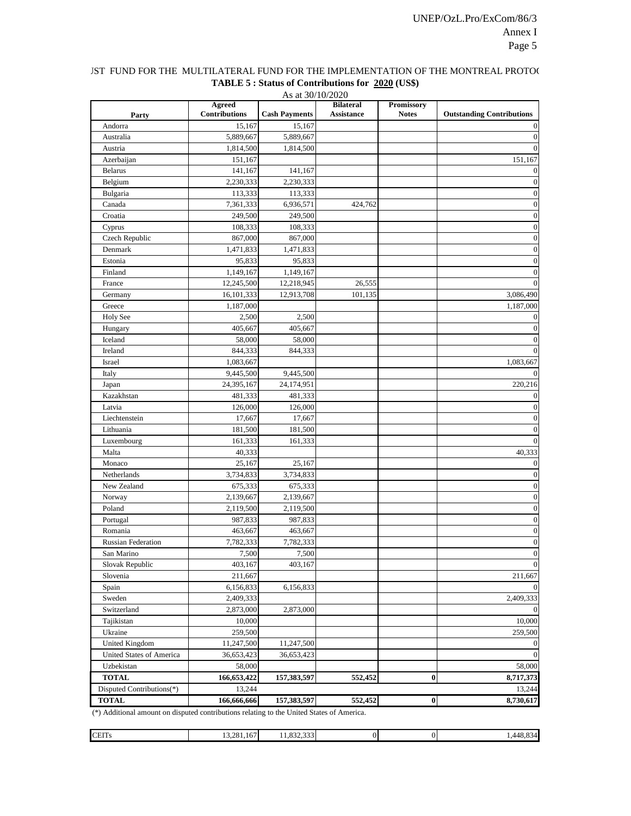# IST FUND FOR THE MULTILATERAL FUND FOR THE IMPLEMENTATION OF THE MONTREAL PROTOC **TABLE 5 : Status of Contributions for 2020 (US\$)**

|                                                                                            |                                       | As at 30/10/2020     |                                       |                                   |                                  |
|--------------------------------------------------------------------------------------------|---------------------------------------|----------------------|---------------------------------------|-----------------------------------|----------------------------------|
| Party                                                                                      | <b>Agreed</b><br><b>Contributions</b> | <b>Cash Payments</b> | <b>Bilateral</b><br><b>Assistance</b> | <b>Promissory</b><br><b>Notes</b> | <b>Outstanding Contributions</b> |
| Andorra                                                                                    | 15,167                                | 15,167               |                                       |                                   | $\theta$                         |
| Australia                                                                                  | 5,889,667                             | 5,889,667            |                                       |                                   | $\theta$                         |
| Austria                                                                                    | 1,814,500                             | 1,814,500            |                                       |                                   |                                  |
| Azerbaijan                                                                                 | 151,167                               |                      |                                       |                                   | 151,167                          |
| <b>Belarus</b>                                                                             | 141,167                               | 141,167              |                                       |                                   |                                  |
| Belgium                                                                                    | 2,230,333                             | 2,230,333            |                                       |                                   | $\theta$                         |
| Bulgaria                                                                                   | 113,333                               | 113,333              |                                       |                                   | $\theta$                         |
| Canada                                                                                     | 7,361,333                             | 6,936,571            | 424,762                               |                                   | $\boldsymbol{0}$                 |
| Croatia                                                                                    | 249,500                               | 249,500              |                                       |                                   | $\mathbf{0}$                     |
| Cyprus                                                                                     | 108,333                               | 108,333              |                                       |                                   | $\theta$                         |
| Czech Republic                                                                             | 867,000                               | 867,000              |                                       |                                   | $\mathbf{0}$                     |
| Denmark                                                                                    | 1,471,833                             | 1,471,833            |                                       |                                   | $\mathbf{0}$                     |
| Estonia                                                                                    | 95,833                                | 95,833               |                                       |                                   | $\boldsymbol{0}$                 |
| Finland                                                                                    | 1,149,167                             | 1,149,167            |                                       |                                   | $\theta$                         |
| France                                                                                     | 12,245,500                            | 12,218,945           | 26,555                                |                                   | $\Omega$                         |
| Germany                                                                                    | 16,101,333                            | 12,913,708           | 101,135                               |                                   | 3,086,490                        |
| Greece                                                                                     | 1,187,000                             |                      |                                       |                                   | 1,187,000                        |
| <b>Holy See</b>                                                                            | 2,500                                 | 2,500                |                                       |                                   |                                  |
| Hungary                                                                                    | 405,667                               | 405,667              |                                       |                                   | $\theta$                         |
| Iceland                                                                                    | 58,000                                | 58,000               |                                       |                                   | $\theta$                         |
| Ireland                                                                                    | 844,333                               | 844,333              |                                       |                                   | $\Omega$                         |
| Israel                                                                                     | 1,083,667                             |                      |                                       |                                   | 1,083,667                        |
| Italy                                                                                      | 9,445,500                             | 9,445,500            |                                       |                                   |                                  |
| Japan                                                                                      | 24,395,167                            | 24,174,951           |                                       |                                   | 220,216                          |
| Kazakhstan                                                                                 | 481,333                               | 481,333              |                                       |                                   | $\theta$                         |
| Latvia                                                                                     | 126,000                               | 126,000              |                                       |                                   | $\theta$                         |
| Liechtenstein                                                                              | 17,667                                | 17,667               |                                       |                                   | $\theta$                         |
| Lithuania                                                                                  | 181,500                               | 181,500              |                                       |                                   | $\theta$                         |
| Luxembourg                                                                                 | 161,333                               | 161,333              |                                       |                                   | $\Omega$                         |
| Malta                                                                                      | 40,333                                |                      |                                       |                                   | 40,333                           |
| Monaco                                                                                     | 25,167                                | 25,167               |                                       |                                   | $\mathbf{0}$                     |
| Netherlands                                                                                | 3,734,833                             | 3,734,833            |                                       |                                   | $\theta$                         |
| New Zealand                                                                                | 675,333                               | 675,333              |                                       |                                   | $\mathbf{0}$                     |
| Norway                                                                                     | 2,139,667                             | 2,139,667            |                                       |                                   | $\mathbf{0}$                     |
| Poland                                                                                     | 2,119,500                             | 2,119,500            |                                       |                                   | $\mathbf{0}$                     |
| Portugal                                                                                   | 987,833                               | 987,833              |                                       |                                   | $\boldsymbol{0}$                 |
| Romania                                                                                    | 463,667                               | 463,667              |                                       |                                   | $\boldsymbol{0}$                 |
| <b>Russian Federation</b>                                                                  | 7,782,333                             | 7,782,333            |                                       |                                   | $\boldsymbol{0}$                 |
| San Marino                                                                                 | 7,500                                 | 7,500                |                                       |                                   | $\boldsymbol{0}$                 |
| Slovak Republic                                                                            | 403,167                               | 403,167              |                                       |                                   | $\theta$                         |
| Slovenia                                                                                   | 211,667                               |                      |                                       |                                   | 211,667                          |
| Spain                                                                                      | 6,156,833                             | 6,156,833            |                                       |                                   |                                  |
| Sweden                                                                                     | 2,409,333                             |                      |                                       |                                   | 2,409,333                        |
| Switzerland                                                                                | 2,873,000                             | 2,873,000            |                                       |                                   |                                  |
| Tajikistan                                                                                 | 10,000                                |                      |                                       |                                   | 10,000                           |
| Ukraine                                                                                    | 259,500                               |                      |                                       |                                   | 259,500                          |
| United Kingdom                                                                             | 11,247,500                            | 11,247,500           |                                       |                                   | $\theta$                         |
| United States of America                                                                   | 36,653,423                            | 36,653,423           |                                       |                                   | $\Omega$                         |
| Uzbekistan                                                                                 | 58,000                                |                      |                                       |                                   | 58,000                           |
| <b>TOTAL</b>                                                                               | 166,653,422                           | 157,383,597          | 552,452                               | 0                                 | 8,717,373                        |
| Disputed Contributions(*)                                                                  | 13,244                                |                      |                                       |                                   | 13,244                           |
| <b>TOTAL</b>                                                                               | 166,666,666                           | 157,383,597          | 552,452                               | $\pmb{0}$                         | 8,730,617                        |
| $(*)$ Additional amount on disputed contributions relating to the United States of America |                                       |                      |                                       |                                   |                                  |

| <b>CEITs</b> | 13.281.167<br>__ | 0.22.22<br>1.832.333 | 01 | $\sim$<br>1448.0<br>∼ |
|--------------|------------------|----------------------|----|-----------------------|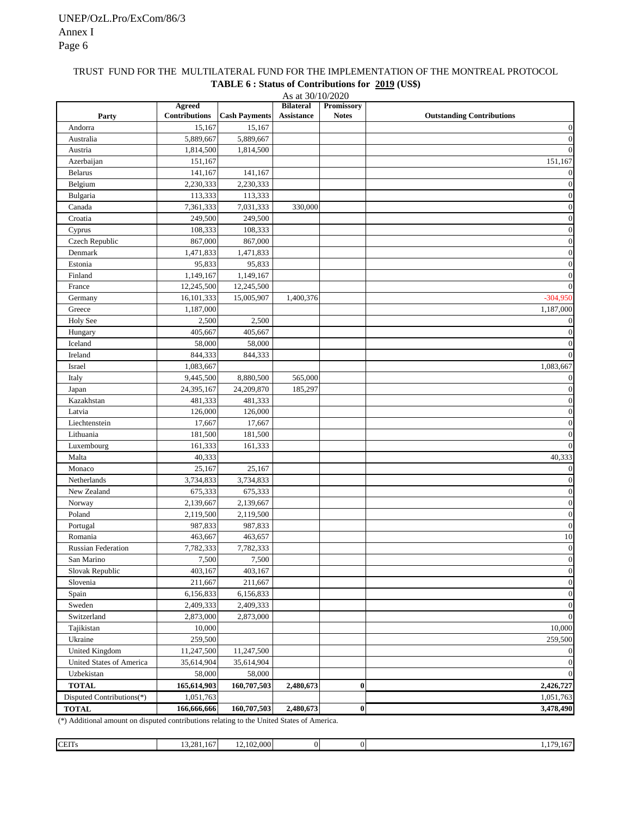## TRUST FUND FOR THE MULTILATERAL FUND FOR THE IMPLEMENTATION OF THE MONTREAL PROTOCOL **TABLE 6 : Status of Contributions for 2019 (US\$)**

| As at 30/10/2020          |                                       |                      |                                |                            |                                  |  |  |
|---------------------------|---------------------------------------|----------------------|--------------------------------|----------------------------|----------------------------------|--|--|
| Party                     | <b>Agreed</b><br><b>Contributions</b> | <b>Cash Payments</b> | <b>Bilateral</b><br>Assistance | Promissory<br><b>Notes</b> | <b>Outstanding Contributions</b> |  |  |
| Andorra                   | 15,167                                | 15,167               |                                |                            | $\boldsymbol{0}$                 |  |  |
| Australia                 | 5,889,667                             | 5,889,667            |                                |                            | $\boldsymbol{0}$                 |  |  |
| Austria                   | 1,814,500                             | 1,814,500            |                                |                            | $\mathbf{0}$                     |  |  |
| Azerbaijan                | 151,167                               |                      |                                |                            | 151,167                          |  |  |
| <b>Belarus</b>            | 141,167                               | 141,167              |                                |                            | $\mathbf{0}$                     |  |  |
| Belgium                   | 2,230,333                             | 2,230,333            |                                |                            | $\boldsymbol{0}$                 |  |  |
| Bulgaria                  | 113,333                               | 113,333              |                                |                            | $\boldsymbol{0}$                 |  |  |
| Canada                    | 7,361,333                             | 7,031,333            | 330,000                        |                            | $\boldsymbol{0}$                 |  |  |
| Croatia                   | 249,500                               | 249,500              |                                |                            | $\boldsymbol{0}$                 |  |  |
| Cyprus                    | 108,333                               | 108,333              |                                |                            | $\boldsymbol{0}$                 |  |  |
| Czech Republic            | 867,000                               | 867,000              |                                |                            | $\boldsymbol{0}$                 |  |  |
| Denmark                   | 1,471,833                             | 1,471,833            |                                |                            | $\boldsymbol{0}$                 |  |  |
| Estonia                   | 95,833                                | 95,833               |                                |                            | $\boldsymbol{0}$                 |  |  |
| Finland                   | 1,149,167                             | 1,149,167            |                                |                            | $\mathbf{0}$                     |  |  |
| France                    | 12,245,500                            | 12,245,500           |                                |                            | $\mathbf{0}$                     |  |  |
| Germany                   | 16,101,333                            | 15,005,907           | 1,400,376                      |                            | $-304.950$                       |  |  |
| Greece                    | 1,187,000                             |                      |                                |                            | 1,187,000                        |  |  |
| Holy See                  | 2,500                                 | 2,500                |                                |                            | $\boldsymbol{0}$                 |  |  |
| Hungary                   | 405,667                               | 405,667              |                                |                            | $\boldsymbol{0}$                 |  |  |
| Iceland                   | 58,000                                | 58,000               |                                |                            | $\boldsymbol{0}$                 |  |  |
| Ireland                   | 844,333                               | 844,333              |                                |                            | $\mathbf{0}$                     |  |  |
| Israel                    | 1,083,667                             |                      |                                |                            | 1,083,667                        |  |  |
|                           |                                       | 8,880,500            | 565,000                        |                            |                                  |  |  |
| Italy                     | 9,445,500                             |                      |                                |                            | $\boldsymbol{0}$                 |  |  |
| Japan                     | 24,395,167                            | 24,209,870           | 185,297                        |                            | $\boldsymbol{0}$                 |  |  |
| Kazakhstan                | 481,333                               | 481,333              |                                |                            | $\boldsymbol{0}$                 |  |  |
| Latvia                    | 126,000                               | 126,000              |                                |                            | $\boldsymbol{0}$                 |  |  |
| Liechtenstein             | 17,667                                | 17,667               |                                |                            | $\boldsymbol{0}$                 |  |  |
| Lithuania                 | 181,500                               | 181,500              |                                |                            | $\boldsymbol{0}$                 |  |  |
| Luxembourg                | 161,333                               | 161,333              |                                |                            | $\boldsymbol{0}$                 |  |  |
| Malta                     | 40,333                                |                      |                                |                            | 40,333                           |  |  |
| Monaco                    | 25,167                                | 25,167               |                                |                            | $\boldsymbol{0}$                 |  |  |
| Netherlands               | 3,734,833                             | 3,734,833            |                                |                            | $\boldsymbol{0}$                 |  |  |
| New Zealand               | 675,333                               | 675,333              |                                |                            | $\boldsymbol{0}$                 |  |  |
| Norway                    | 2,139,667                             | 2,139,667            |                                |                            | $\boldsymbol{0}$                 |  |  |
| Poland                    | 2,119,500                             | 2,119,500            |                                |                            | $\boldsymbol{0}$                 |  |  |
| Portugal                  | 987,833                               | 987,833              |                                |                            | $\boldsymbol{0}$                 |  |  |
| Romania                   | 463,667                               | 463,657              |                                |                            | 10                               |  |  |
| <b>Russian Federation</b> | 7,782,333                             | 7,782,333            |                                |                            | $\boldsymbol{0}$                 |  |  |
| San Marino                | 7,500                                 | 7,500                |                                |                            | $\boldsymbol{0}$                 |  |  |
| Slovak Republic           | 403,167                               | 403,167              |                                |                            | $\boldsymbol{0}$                 |  |  |
| Slovenia                  | 211,667                               | 211,667              |                                |                            | $\boldsymbol{0}$                 |  |  |
| Spain                     | 6,156,833                             | 6,156,833            |                                |                            | $\boldsymbol{0}$                 |  |  |
| Sweden                    | 2,409,333                             | 2,409,333            |                                |                            | $\boldsymbol{0}$                 |  |  |
| Switzerland               | 2,873,000                             | 2,873,000            |                                |                            | $\mathbf{0}$                     |  |  |
| Tajikistan                | 10,000                                |                      |                                |                            | 10,000                           |  |  |
| Ukraine                   | 259,500                               |                      |                                |                            | 259,500                          |  |  |
| <b>United Kingdom</b>     | 11,247,500                            | 11,247,500           |                                |                            | $\bf{0}$                         |  |  |
| United States of America  | 35,614,904                            | 35,614,904           |                                |                            | $\boldsymbol{0}$                 |  |  |
| Uzbekistan                | 58,000                                | 58,000               |                                |                            | $\boldsymbol{0}$                 |  |  |
| <b>TOTAL</b>              | 165,614,903                           | 160,707,503          | 2,480,673                      | $\boldsymbol{0}$           | 2,426,727                        |  |  |
| Disputed Contributions(*) | 1,051,763                             |                      |                                |                            | 1,051,763                        |  |  |
| <b>TOTAL</b>              | 166,666,666                           | 160,707,503          | 2,480,673                      | $\bf{0}$                   | 3,478,490                        |  |  |
|                           |                                       |                      |                                |                            |                                  |  |  |

| <b>CEITs</b> | 281<br>--<br>$\sim$<br>$-01.167$<br>$  -$ | 12,102,000 |  | 170<br>---- |
|--------------|-------------------------------------------|------------|--|-------------|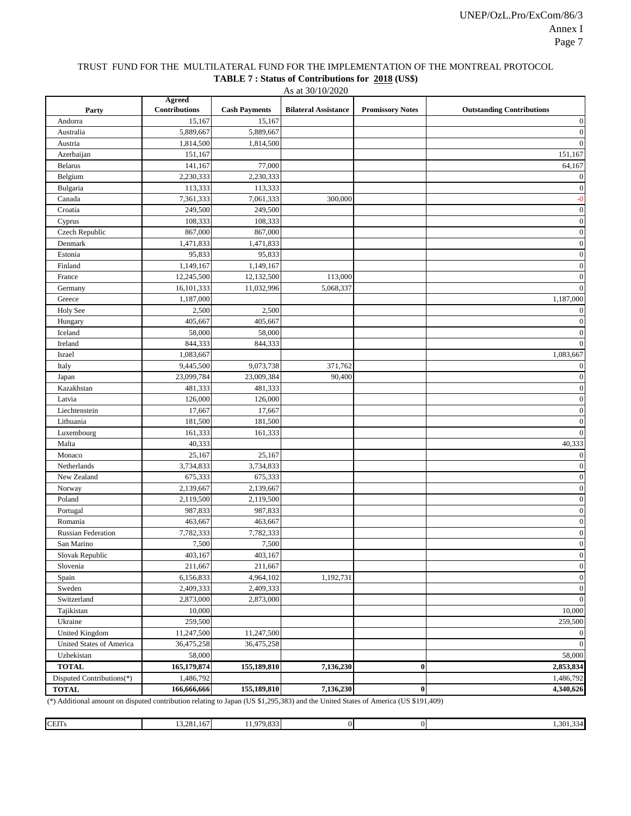#### TRUST FUND FOR THE MULTILATERAL FUND FOR THE IMPLEMENTATION OF THE MONTREAL PROTOCOL **TABLE 7 : Status of Contributions for 2018 (US\$)**

As at 30/10/2020

| Party                     | Agreed<br><b>Contributions</b> | <b>Cash Payments</b> | <b>Bilateral Assistance</b> | <b>Promissory Notes</b> | <b>Outstanding Contributions</b> |
|---------------------------|--------------------------------|----------------------|-----------------------------|-------------------------|----------------------------------|
| Andorra                   | 15,167                         | 15,167               |                             |                         | $\boldsymbol{0}$                 |
| Australia                 | 5,889,667                      | 5,889,667            |                             |                         | $\boldsymbol{0}$                 |
|                           | 1,814,500                      | 1,814,500            |                             |                         | $\mathbf{0}$                     |
| Austria                   | 151,167                        |                      |                             |                         | 151,167                          |
| Azerbaijan                | 141,167                        | 77,000               |                             |                         | 64,167                           |
| <b>Belarus</b>            |                                | 2,230,333            |                             |                         | $\boldsymbol{0}$                 |
| Belgium                   | 2,230,333<br>113,333           | 113,333              |                             |                         | $\boldsymbol{0}$                 |
| Bulgaria                  |                                |                      |                             |                         |                                  |
| Canada                    | 7,361,333<br>249,500           | 7,061,333<br>249,500 | 300,000                     |                         | $-0$<br>$\boldsymbol{0}$         |
| Croatia                   | 108,333                        | 108,333              |                             |                         | $\boldsymbol{0}$                 |
| Cyprus                    |                                | 867,000              |                             |                         | $\boldsymbol{0}$                 |
| Czech Republic            | 867,000<br>1,471,833           | 1,471,833            |                             |                         | $\boldsymbol{0}$                 |
| Denmark                   |                                |                      |                             |                         |                                  |
| Estonia                   | 95,833                         | 95,833               |                             |                         | $\boldsymbol{0}$                 |
| Finland                   | 1,149,167                      | 1,149,167            |                             |                         | $\boldsymbol{0}$                 |
| France                    | 12,245,500                     | 12,132,500           | 113,000                     |                         | $\boldsymbol{0}$                 |
| Germany                   | 16,101,333                     | 11,032,996           | 5,068,337                   |                         | $\mathbf{0}$                     |
| Greece                    | 1,187,000                      |                      |                             |                         | 1,187,000                        |
| <b>Holy See</b>           | 2,500                          | 2,500                |                             |                         | 0                                |
| Hungary                   | 405,667                        | 405,667              |                             |                         | $\boldsymbol{0}$                 |
| Iceland                   | 58,000                         | 58,000               |                             |                         | $\boldsymbol{0}$                 |
| Ireland                   | 844,333                        | 844,333              |                             |                         | $\overline{0}$                   |
| Israel                    | 1,083,667                      |                      |                             |                         | 1,083,667                        |
| Italy                     | 9,445,500                      | 9,073,738            | 371,762                     |                         | 0                                |
| Japan                     | 23,099,784                     | 23,009,384           | 90,400                      |                         | $\boldsymbol{0}$                 |
| Kazakhstan                | 481,333                        | 481,333              |                             |                         | $\boldsymbol{0}$                 |
| Latvia                    | 126,000                        | 126,000              |                             |                         | $\boldsymbol{0}$                 |
| Liechtenstein             | 17,667                         | 17,667               |                             |                         | $\boldsymbol{0}$                 |
| Lithuania                 | 181,500                        | 181,500              |                             |                         | $\boldsymbol{0}$                 |
| Luxembourg                | 161,333                        | 161,333              |                             |                         | $\mathbf{0}$                     |
| Malta                     | 40,333                         |                      |                             |                         | 40,333                           |
| Monaco                    | 25,167                         | 25,167               |                             |                         | $\boldsymbol{0}$                 |
| Netherlands               | 3,734,833                      | 3,734,833            |                             |                         | $\boldsymbol{0}$                 |
| New Zealand               | 675,333                        | 675,333              |                             |                         | $\boldsymbol{0}$                 |
| Norway                    | 2,139,667                      | 2,139,667            |                             |                         | $\boldsymbol{0}$                 |
| Poland                    | 2,119,500                      | 2,119,500            |                             |                         | $\boldsymbol{0}$                 |
| Portugal                  | 987,833                        | 987,833              |                             |                         | $\boldsymbol{0}$                 |
| Romania                   | 463,667                        | 463,667              |                             |                         | $\boldsymbol{0}$                 |
| <b>Russian Federation</b> | 7,782,333                      | 7,782,333            |                             |                         | $\boldsymbol{0}$                 |
| San Marino                | 7,500                          | 7,500                |                             |                         | $\boldsymbol{0}$                 |
| Slovak Republic           | 403,167                        | 403,167              |                             |                         | $\boldsymbol{0}$                 |
| Slovenia                  | 211,667                        | 211,667              |                             |                         | $\boldsymbol{0}$                 |
| Spain                     | 6,156,833                      | 4,964,102            | 1,192,731                   |                         | $\boldsymbol{0}$                 |
| Sweden                    | 2,409,333                      | 2,409,333            |                             |                         | $\boldsymbol{0}$                 |
| Switzerland               | 2,873,000                      | 2,873,000            |                             |                         | $\mathbf{0}$                     |
| Tajikistan                | 10,000                         |                      |                             |                         | 10,000                           |
| Ukraine                   | 259,500                        |                      |                             |                         | 259,500                          |
| <b>United Kingdom</b>     | 11,247,500                     | 11,247,500           |                             |                         | $\mathbf{0}$                     |
| United States of America  | 36,475,258                     | 36,475,258           |                             |                         | $\mathbf{0}$                     |
| Uzbekistan                | 58,000                         |                      |                             |                         | 58,000                           |
| <b>TOTAL</b>              | 165,179,874                    | 155,189,810          | 7,136,230                   | $\bf{0}$                | 2,853,834                        |
| Disputed Contributions(*) | 1,486,792                      |                      |                             |                         | 1,486,792                        |
| <b>TOTAL</b>              | 166,666,666                    | 155,189,810          | 7,136,230                   | $\pmb{0}$               | 4,340,626                        |

(\*) Additional amount on disputed contribution relating to Japan (US \$1,295,383) and the United States of America (US \$191,409)

| <b>CEITs</b> | 13.281.167 | 11.979.833 | D | 1,301,334 |
|--------------|------------|------------|---|-----------|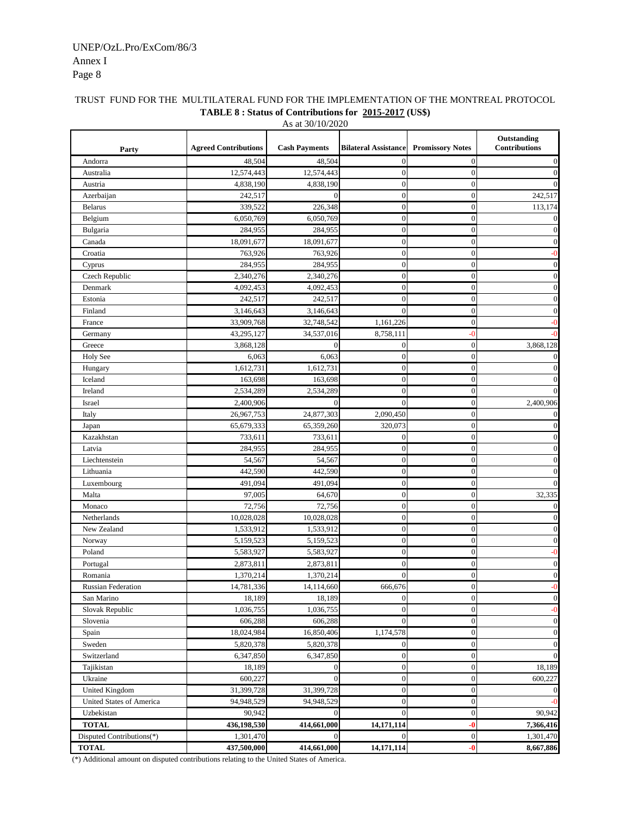# Annex I Page 8 UNEP/OzL.Pro/ExCom/86/3

| Party                     | <b>Agreed Contributions</b> | <b>Cash Payments</b> | <b>Bilateral Assistance</b> | <b>Promissory Notes</b>  | Outstanding<br><b>Contributions</b> |
|---------------------------|-----------------------------|----------------------|-----------------------------|--------------------------|-------------------------------------|
| Andorra                   | 48,504                      | 48,504               | $\boldsymbol{0}$            | $\boldsymbol{0}$         | $\overline{0}$                      |
| Australia                 | 12,574,443                  | 12,574,443           | $\mathbf{0}$                | $\overline{0}$           | $\boldsymbol{0}$                    |
| Austria                   | 4,838,190                   | 4,838,190            | $\mathbf{0}$                | $\mathbf{0}$             | $\theta$                            |
| Azerbaijan                | 242,517                     | $\theta$             | $\boldsymbol{0}$            | $\mathbf{0}$             | 242,517                             |
| <b>Belarus</b>            | 339,522                     | 226,348              | $\boldsymbol{0}$            | $\mathbf{0}$             | 113,174                             |
| Belgium                   | 6,050,769                   | 6,050,769            | $\boldsymbol{0}$            | $\mathbf{0}$             | $\theta$                            |
| Bulgaria                  | 284,955                     | 284,955              | $\mathbf{0}$                | $\overline{0}$           | $\theta$                            |
| Canada                    | 18,091,677                  | 18,091,677           | $\mathbf{0}$                | $\boldsymbol{0}$         | $\mathbf{0}$                        |
| Croatia                   | 763,926                     | 763,926              | $\mathbf{0}$                | $\overline{0}$           | -0                                  |
| Cyprus                    | 284,955                     | 284,955              | $\overline{0}$              | $\boldsymbol{0}$         | $\boldsymbol{0}$                    |
| Czech Republic            | 2,340,276                   | 2,340,276            | $\boldsymbol{0}$            | $\mathbf{0}$             | $\boldsymbol{0}$                    |
| Denmark                   | 4,092,453                   | 4,092,453            | $\boldsymbol{0}$            | $\boldsymbol{0}$         | $\boldsymbol{0}$                    |
| Estonia                   | 242,517                     | 242,517              | $\mathbf{0}$                | $\mathbf{0}$             | $\boldsymbol{0}$                    |
| Finland                   | 3,146,643                   | 3,146,643            | $\mathbf{0}$                | $\overline{0}$           | $\boldsymbol{0}$                    |
| France                    | 33,909,768                  | 32,748,542           | 1,161,226                   | $\boldsymbol{0}$         | -0                                  |
| Germany                   | 43,295,127                  | 34,537,016           | 8,758,111                   | $\overline{\phantom{0}}$ |                                     |
| Greece                    | 3,868,128                   | $\theta$             | $\mathbf{0}$                | $\boldsymbol{0}$         | 3,868,128                           |
| <b>Holy See</b>           | 6,063                       | 6,063                | $\mathbf{0}$                | $\mathbf{0}$             | $\overline{0}$                      |
| Hungary                   | 1,612,731                   | 1,612,731            | $\boldsymbol{0}$            | $\boldsymbol{0}$         | $\boldsymbol{0}$                    |
| Iceland                   | 163,698                     | 163,698              | $\mathbf{0}$                | $\overline{0}$           | $\boldsymbol{0}$                    |
| Ireland                   | 2,534,289                   | 2,534,289            | $\mathbf{0}$                | $\overline{0}$           | $\overline{0}$                      |
| Israel                    | 2,400,906                   | $\boldsymbol{0}$     | $\boldsymbol{0}$            | $\boldsymbol{0}$         | 2,400,906                           |
| Italy                     | 26,967,753                  | 24,877,303           | 2,090,450                   | $\overline{0}$           | $\overline{0}$                      |
| Japan                     | 65,679,333                  | 65,359,260           | 320,073                     | $\mathbf{0}$             | $\boldsymbol{0}$                    |
| Kazakhstan                | 733,611                     | 733,611              | $\boldsymbol{0}$            | $\mathbf{0}$             | $\boldsymbol{0}$                    |
| Latvia                    | 284,955                     | 284,955              | $\boldsymbol{0}$            | $\boldsymbol{0}$         | $\boldsymbol{0}$                    |
| Liechtenstein             | 54,567                      | 54,567               | $\mathbf{0}$                | $\overline{0}$           | $\boldsymbol{0}$                    |
| Lithuania                 | 442,590                     | 442,590              | $\mathbf{0}$                | $\mathbf{0}$             | $\mathbf{0}$                        |
| Luxembourg                | 491,094                     | 491,094              | $\boldsymbol{0}$            | $\mathbf{0}$             | $\boldsymbol{0}$                    |
| Malta                     | 97,005                      | 64,670               | $\boldsymbol{0}$            | $\overline{0}$           | 32,335                              |
| Monaco                    | 72,756                      | 72,756               | $\boldsymbol{0}$            | $\mathbf{0}$             | $\mathbf{0}$                        |
| Netherlands               | 10,028,028                  | 10,028,028           | $\mathbf{0}$                | $\overline{0}$           | $\overline{0}$                      |
| New Zealand               | 1,533,912                   | 1,533,912            | $\boldsymbol{0}$            | $\mathbf{0}$             | $\boldsymbol{0}$                    |
| Norway                    | 5,159,523                   | 5,159,523            | $\boldsymbol{0}$            | $\mathbf{0}$             | $\boldsymbol{0}$                    |
| Poland                    | 5,583,927                   | 5,583,927            | $\mathbf{0}$                | $\mathbf{0}$             | -0                                  |
| Portugal                  | 2,873,811                   | 2,873,811            | $\mathbf{0}$                | $\mathbf{0}$             | $\boldsymbol{0}$                    |
| Romania                   | 1,370,214                   | 1,370,214            | $\mathbf{0}$                | $\boldsymbol{0}$         | $\boldsymbol{0}$                    |
| <b>Russian Federation</b> | 14,781,336                  | 14,114,660           | 666,676                     | $\boldsymbol{0}$         | -0                                  |
| San Marino                | 18,189                      | 18,189               | $\boldsymbol{0}$            | $\boldsymbol{0}$         | $\boldsymbol{0}$                    |
| Slovak Republic           | 1,036,755                   | 1,036,755            | $\boldsymbol{0}$            | $\boldsymbol{0}$         | $-0$                                |
| Slovenia                  | 606,288                     | 606,288              | $\mathbf{0}$                | $\boldsymbol{0}$         | $\boldsymbol{0}$                    |
| Spain                     | 18,024,984                  | 16,850,406           | 1,174,578                   | $\boldsymbol{0}$         | $\boldsymbol{0}$                    |
| Sweden                    | 5,820,378                   | 5,820,378            | $\boldsymbol{0}$            | $\boldsymbol{0}$         | $\overline{0}$                      |
| Switzerland               | 6,347,850                   | 6,347,850            | $\boldsymbol{0}$            | $\boldsymbol{0}$         | $\overline{0}$                      |
| Tajikistan                | 18,189                      | $\boldsymbol{0}$     | $\boldsymbol{0}$            | $\boldsymbol{0}$         | 18,189                              |
| Ukraine                   | 600,227                     | $\overline{0}$       | $\boldsymbol{0}$            | $\boldsymbol{0}$         | 600,227                             |
| United Kingdom            | 31,399,728                  | 31,399,728           | $\boldsymbol{0}$            | $\boldsymbol{0}$         | $\mathbf{0}$                        |
| United States of America  | 94,948,529                  | 94,948,529           | $\boldsymbol{0}$            | $\boldsymbol{0}$         | $-0$                                |
| Uzbekistan                | 90,942                      | $\overline{0}$       | $\mathbf{0}$                | $\mathbf{0}$             | 90,942                              |
| <b>TOTAL</b>              | 436,198,530                 | 414,661,000          | 14,171,114                  | $-0$                     | 7,366,416                           |
| Disputed Contributions(*) | 1,301,470                   | $\Omega$             | $\boldsymbol{0}$            | $\boldsymbol{0}$         | 1,301,470                           |
| <b>TOTAL</b>              | 437,500,000                 | 414,661,000          | 14,171,114                  | $-0$                     | 8,667,886                           |

#### TRUST FUND FOR THE MULTILATERAL FUND FOR THE IMPLEMENTATION OF THE MONTREAL PROTOCOL **TABLE 8 : Status of Contributions for 2015-2017 (US\$)** As at 30/10/2020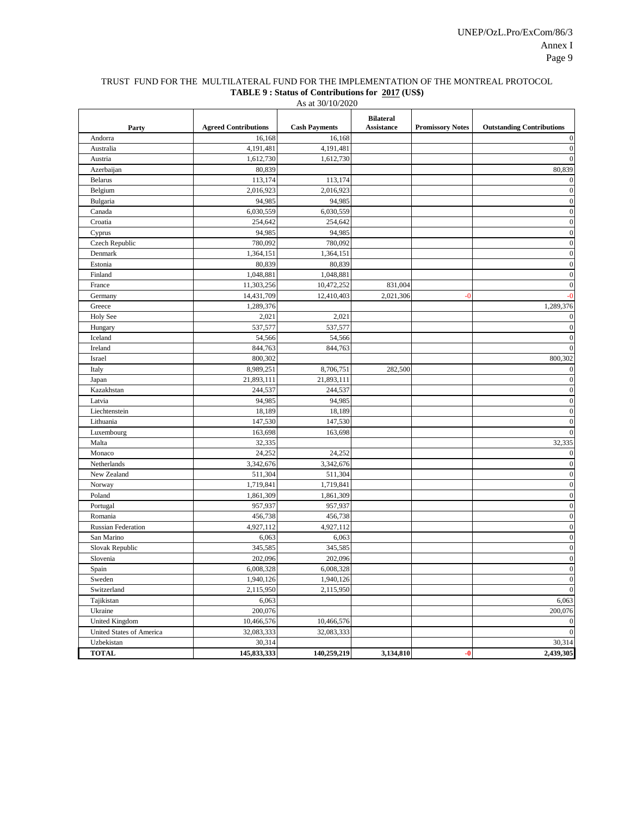## TRUST FUND FOR THE MULTILATERAL FUND FOR THE IMPLEMENTATION OF THE MONTREAL PROTOCOL **TABLE 9 : Status of Contributions for 2017 (US\$)**

As at 30/10/2020

| Party                    | <b>Agreed Contributions</b> | <b>Cash Payments</b> | <b>Bilateral</b><br><b>Assistance</b> | <b>Promissory Notes</b> | <b>Outstanding Contributions</b> |
|--------------------------|-----------------------------|----------------------|---------------------------------------|-------------------------|----------------------------------|
| Andorra                  | 16,168                      | 16,168               |                                       |                         | $\mathbf{0}$                     |
| Australia                | 4,191,481                   | 4,191,481            |                                       |                         | $\boldsymbol{0}$                 |
| Austria                  | 1,612,730                   | 1,612,730            |                                       |                         | $\boldsymbol{0}$                 |
| Azerbaijan               | 80,839                      |                      |                                       |                         | 80,839                           |
| <b>Belarus</b>           | 113,174                     | 113,174              |                                       |                         | $\boldsymbol{0}$                 |
| Belgium                  | 2,016,923                   | 2,016,923            |                                       |                         | $\boldsymbol{0}$                 |
| Bulgaria                 | 94,985                      | 94,985               |                                       |                         | $\boldsymbol{0}$                 |
| Canada                   | 6,030,559                   | 6,030,559            |                                       |                         | $\boldsymbol{0}$                 |
| Croatia                  | 254,642                     | 254,642              |                                       |                         | $\boldsymbol{0}$                 |
| Cyprus                   | 94,985                      | 94,985               |                                       |                         | $\boldsymbol{0}$                 |
| Czech Republic           | 780,092                     | 780,092              |                                       |                         | $\boldsymbol{0}$                 |
| Denmark                  | 1,364,151                   | 1,364,151            |                                       |                         | $\boldsymbol{0}$                 |
| Estonia                  | 80,839                      | 80,839               |                                       |                         | $\boldsymbol{0}$                 |
| Finland                  | 1,048,881                   | 1,048,881            |                                       |                         | $\boldsymbol{0}$                 |
| France                   | 11,303,256                  | 10,472,252           | 831,004                               |                         | $\boldsymbol{0}$                 |
| Germany                  | 14,431,709                  | 12,410,403           | 2,021,306                             | $-0$                    | $-0$                             |
| Greece                   | 1,289,376                   |                      |                                       |                         | 1,289,376                        |
| <b>Holy See</b>          | 2,021                       | 2,021                |                                       |                         | $\boldsymbol{0}$                 |
| Hungary                  | 537,577                     | 537,577              |                                       |                         | $\boldsymbol{0}$                 |
| Iceland                  | 54,566                      | 54,566               |                                       |                         | $\mathbf{0}$                     |
| Ireland                  | 844,763                     | 844,763              |                                       |                         | $\overline{0}$                   |
| Israel                   | 800,302                     |                      |                                       |                         | 800,302                          |
| Italy                    | 8,989,251                   | 8,706,751            | 282,500                               |                         | $\boldsymbol{0}$                 |
| Japan                    | 21,893,111                  | 21,893,111           |                                       |                         | $\boldsymbol{0}$                 |
| Kazakhstan               | 244,537                     | 244,537              |                                       |                         | $\boldsymbol{0}$                 |
| Latvia                   | 94,985                      | 94,985               |                                       |                         | $\boldsymbol{0}$                 |
| Liechtenstein            | 18,189                      | 18,189               |                                       |                         | $\boldsymbol{0}$                 |
| Lithuania                | 147,530                     | 147,530              |                                       |                         | $\mathbf{0}$                     |
| Luxembourg               | 163,698                     | 163,698              |                                       |                         | $\mathbf{0}$                     |
| Malta                    | 32,335                      |                      |                                       |                         | 32,335                           |
| Monaco                   | 24,252                      | 24,252               |                                       |                         | $\boldsymbol{0}$                 |
| Netherlands              | 3,342,676                   | 3,342,676            |                                       |                         | $\boldsymbol{0}$                 |
| New Zealand              | 511,304                     | 511,304              |                                       |                         | $\boldsymbol{0}$                 |
| Norway                   | 1,719,841                   | 1,719,841            |                                       |                         | $\boldsymbol{0}$                 |
| Poland                   | 1,861,309                   | 1,861,309            |                                       |                         | $\boldsymbol{0}$                 |
| Portugal                 | 957,937                     | 957,937              |                                       |                         | $\boldsymbol{0}$                 |
| Romania                  | 456,738                     | 456,738              |                                       |                         | $\boldsymbol{0}$                 |
| Russian Federation       | 4,927,112                   | 4,927,112            |                                       |                         | $\boldsymbol{0}$                 |
| San Marino               | 6,063                       | 6,063                |                                       |                         | $\boldsymbol{0}$                 |
| Slovak Republic          | 345,585                     | 345,585              |                                       |                         | $\boldsymbol{0}$                 |
| Slovenia                 | 202,096                     | 202,096              |                                       |                         | $\overline{0}$                   |
| Spain                    | 6,008,328                   | 6,008,328            |                                       |                         | $\boldsymbol{0}$                 |
| Sweden                   | 1,940,126                   | 1,940,126            |                                       |                         | $\boldsymbol{0}$                 |
| Switzerland              | 2,115,950                   | 2,115,950            |                                       |                         | $\mathbf{0}$                     |
| Tajikistan               | 6,063                       |                      |                                       |                         | 6,063                            |
| Ukraine                  | 200,076                     |                      |                                       |                         | 200,076                          |
| <b>United Kingdom</b>    | 10,466,576                  | 10,466,576           |                                       |                         | $\mathbf{0}$                     |
| United States of America | 32,083,333                  | 32,083,333           |                                       |                         | $\mathbf{0}$                     |
| Uzbekistan               | 30,314                      |                      |                                       |                         | 30,314                           |
| <b>TOTAL</b>             | 145,833,333                 | 140,259,219          | 3,134,810                             | $-0$                    | 2,439,305                        |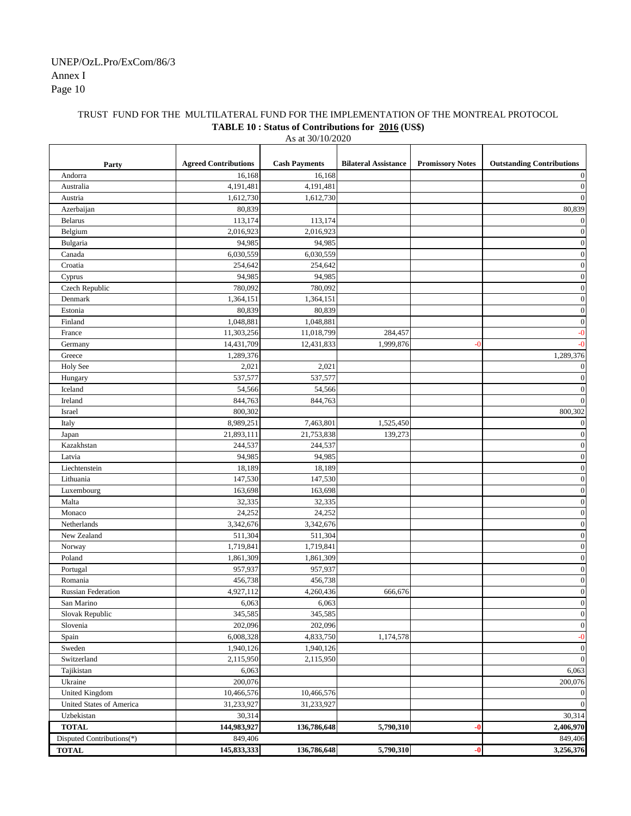## TRUST FUND FOR THE MULTILATERAL FUND FOR THE IMPLEMENTATION OF THE MONTREAL PROTOCOL **TABLE 10 : Status of Contributions for 2016 (US\$)**

As at 30/10/2020

| <b>Cash Payments</b><br><b>Outstanding Contributions</b><br><b>Agreed Contributions</b><br><b>Bilateral Assistance</b><br><b>Promissory Notes</b><br>Party<br>16,168<br>16,168<br>Andorra<br>4,191,481<br>4,191,481<br>Australia<br>1,612,730<br>1,612,730<br>Austria<br>80,839<br>80,839<br>Azerbaijan<br>113,174<br>113,174<br><b>Belarus</b><br>2,016,923<br>2,016,923<br>Belgium<br>Bulgaria<br>94,985<br>94,985<br>6,030,559<br>6,030,559<br>Canada<br>Croatia<br>254,642<br>254,642<br>94,985<br>94,985<br>Cyprus<br>Czech Republic<br>780,092<br>780,092<br>1,364,151<br>1,364,151<br>Denmark<br>80,839<br>Estonia<br>80,839<br>1,048,881<br>1,048,881<br>Finland<br>11,303,256<br>11,018,799<br>284,457<br>France<br>1,999,876<br>14,431,709<br>12,431,833<br>Germany<br>$-0$<br>1,289,376<br>1,289,376<br>Greece<br>Holy See<br>2,021<br>2,021<br>537,577<br>537,577<br>Hungary<br>54,566<br>54,566<br>Iceland<br>844,763<br>Ireland<br>844,763<br>800,302<br>Israel<br>8,989,251<br>1,525,450<br>7,463,801<br>Italy<br>21,893,111<br>21,753,838<br>139,273<br>Japan<br>Kazakhstan<br>244,537<br>244,537<br>94,985<br>94,985<br>Latvia<br>18,189<br>Liechtenstein<br>18,189<br>Lithuania<br>147,530<br>147,530<br>163,698<br>Luxembourg<br>163,698<br>32,335<br>32,335<br>Malta<br>24,252<br>24,252<br>Monaco<br>Netherlands<br>3,342,676<br>3,342,676<br>New Zealand<br>511,304<br>511,304<br>1,719,841<br>Norway<br>1,719,841<br>Poland<br>1,861,309<br>1,861,309<br>957,937<br>957,937<br>Portugal<br>456,738<br>456,738<br>Romania<br>4,927,112<br>4,260,436<br>666,676<br><b>Russian Federation</b><br>6,063<br>6,063<br>San Marino<br>Slovak Republic<br>345,585<br>345,585<br>202,096<br>202,096<br>Slovenia<br>4,833,750<br>6,008,328<br>1,174,578<br>Spain<br>1,940,126<br>1,940,126<br>Sweden<br>2,115,950<br>2,115,950<br>Switzerland<br>Tajikistan<br>6,063<br>Ukraine<br>200,076<br><b>United Kingdom</b><br>10,466,576<br>10,466,576<br>31,233,927<br>31,233,927<br>United States of America<br>Uzbekistan<br>30,314<br>144,983,927<br>136,786,648<br>5,790,310<br><b>TOTAL</b><br>$-0$<br>Disputed Contributions(*)<br>849,406<br>145,833,333<br>136,786,648<br>5,790,310<br><b>TOTAL</b><br>$-0$ |  |  |                      |
|---------------------------------------------------------------------------------------------------------------------------------------------------------------------------------------------------------------------------------------------------------------------------------------------------------------------------------------------------------------------------------------------------------------------------------------------------------------------------------------------------------------------------------------------------------------------------------------------------------------------------------------------------------------------------------------------------------------------------------------------------------------------------------------------------------------------------------------------------------------------------------------------------------------------------------------------------------------------------------------------------------------------------------------------------------------------------------------------------------------------------------------------------------------------------------------------------------------------------------------------------------------------------------------------------------------------------------------------------------------------------------------------------------------------------------------------------------------------------------------------------------------------------------------------------------------------------------------------------------------------------------------------------------------------------------------------------------------------------------------------------------------------------------------------------------------------------------------------------------------------------------------------------------------------------------------------------------------------------------------------------------------------------------------------------------------------------------------------------------------------------------------------------------------------------------------------------------------------------|--|--|----------------------|
|                                                                                                                                                                                                                                                                                                                                                                                                                                                                                                                                                                                                                                                                                                                                                                                                                                                                                                                                                                                                                                                                                                                                                                                                                                                                                                                                                                                                                                                                                                                                                                                                                                                                                                                                                                                                                                                                                                                                                                                                                                                                                                                                                                                                                           |  |  |                      |
|                                                                                                                                                                                                                                                                                                                                                                                                                                                                                                                                                                                                                                                                                                                                                                                                                                                                                                                                                                                                                                                                                                                                                                                                                                                                                                                                                                                                                                                                                                                                                                                                                                                                                                                                                                                                                                                                                                                                                                                                                                                                                                                                                                                                                           |  |  |                      |
|                                                                                                                                                                                                                                                                                                                                                                                                                                                                                                                                                                                                                                                                                                                                                                                                                                                                                                                                                                                                                                                                                                                                                                                                                                                                                                                                                                                                                                                                                                                                                                                                                                                                                                                                                                                                                                                                                                                                                                                                                                                                                                                                                                                                                           |  |  | $\theta$<br>$\theta$ |
|                                                                                                                                                                                                                                                                                                                                                                                                                                                                                                                                                                                                                                                                                                                                                                                                                                                                                                                                                                                                                                                                                                                                                                                                                                                                                                                                                                                                                                                                                                                                                                                                                                                                                                                                                                                                                                                                                                                                                                                                                                                                                                                                                                                                                           |  |  |                      |
|                                                                                                                                                                                                                                                                                                                                                                                                                                                                                                                                                                                                                                                                                                                                                                                                                                                                                                                                                                                                                                                                                                                                                                                                                                                                                                                                                                                                                                                                                                                                                                                                                                                                                                                                                                                                                                                                                                                                                                                                                                                                                                                                                                                                                           |  |  |                      |
|                                                                                                                                                                                                                                                                                                                                                                                                                                                                                                                                                                                                                                                                                                                                                                                                                                                                                                                                                                                                                                                                                                                                                                                                                                                                                                                                                                                                                                                                                                                                                                                                                                                                                                                                                                                                                                                                                                                                                                                                                                                                                                                                                                                                                           |  |  | $\mathbf{0}$         |
|                                                                                                                                                                                                                                                                                                                                                                                                                                                                                                                                                                                                                                                                                                                                                                                                                                                                                                                                                                                                                                                                                                                                                                                                                                                                                                                                                                                                                                                                                                                                                                                                                                                                                                                                                                                                                                                                                                                                                                                                                                                                                                                                                                                                                           |  |  | $\overline{0}$       |
|                                                                                                                                                                                                                                                                                                                                                                                                                                                                                                                                                                                                                                                                                                                                                                                                                                                                                                                                                                                                                                                                                                                                                                                                                                                                                                                                                                                                                                                                                                                                                                                                                                                                                                                                                                                                                                                                                                                                                                                                                                                                                                                                                                                                                           |  |  | $\mathbf{0}$         |
|                                                                                                                                                                                                                                                                                                                                                                                                                                                                                                                                                                                                                                                                                                                                                                                                                                                                                                                                                                                                                                                                                                                                                                                                                                                                                                                                                                                                                                                                                                                                                                                                                                                                                                                                                                                                                                                                                                                                                                                                                                                                                                                                                                                                                           |  |  | $\mathbf{0}$         |
|                                                                                                                                                                                                                                                                                                                                                                                                                                                                                                                                                                                                                                                                                                                                                                                                                                                                                                                                                                                                                                                                                                                                                                                                                                                                                                                                                                                                                                                                                                                                                                                                                                                                                                                                                                                                                                                                                                                                                                                                                                                                                                                                                                                                                           |  |  | $\boldsymbol{0}$     |
|                                                                                                                                                                                                                                                                                                                                                                                                                                                                                                                                                                                                                                                                                                                                                                                                                                                                                                                                                                                                                                                                                                                                                                                                                                                                                                                                                                                                                                                                                                                                                                                                                                                                                                                                                                                                                                                                                                                                                                                                                                                                                                                                                                                                                           |  |  | $\mathbf{0}$         |
|                                                                                                                                                                                                                                                                                                                                                                                                                                                                                                                                                                                                                                                                                                                                                                                                                                                                                                                                                                                                                                                                                                                                                                                                                                                                                                                                                                                                                                                                                                                                                                                                                                                                                                                                                                                                                                                                                                                                                                                                                                                                                                                                                                                                                           |  |  | $\mathbf{0}$         |
|                                                                                                                                                                                                                                                                                                                                                                                                                                                                                                                                                                                                                                                                                                                                                                                                                                                                                                                                                                                                                                                                                                                                                                                                                                                                                                                                                                                                                                                                                                                                                                                                                                                                                                                                                                                                                                                                                                                                                                                                                                                                                                                                                                                                                           |  |  | $\boldsymbol{0}$     |
|                                                                                                                                                                                                                                                                                                                                                                                                                                                                                                                                                                                                                                                                                                                                                                                                                                                                                                                                                                                                                                                                                                                                                                                                                                                                                                                                                                                                                                                                                                                                                                                                                                                                                                                                                                                                                                                                                                                                                                                                                                                                                                                                                                                                                           |  |  | $\mathbf{0}$         |
|                                                                                                                                                                                                                                                                                                                                                                                                                                                                                                                                                                                                                                                                                                                                                                                                                                                                                                                                                                                                                                                                                                                                                                                                                                                                                                                                                                                                                                                                                                                                                                                                                                                                                                                                                                                                                                                                                                                                                                                                                                                                                                                                                                                                                           |  |  | $\boldsymbol{0}$     |
|                                                                                                                                                                                                                                                                                                                                                                                                                                                                                                                                                                                                                                                                                                                                                                                                                                                                                                                                                                                                                                                                                                                                                                                                                                                                                                                                                                                                                                                                                                                                                                                                                                                                                                                                                                                                                                                                                                                                                                                                                                                                                                                                                                                                                           |  |  | -0                   |
|                                                                                                                                                                                                                                                                                                                                                                                                                                                                                                                                                                                                                                                                                                                                                                                                                                                                                                                                                                                                                                                                                                                                                                                                                                                                                                                                                                                                                                                                                                                                                                                                                                                                                                                                                                                                                                                                                                                                                                                                                                                                                                                                                                                                                           |  |  | -0                   |
|                                                                                                                                                                                                                                                                                                                                                                                                                                                                                                                                                                                                                                                                                                                                                                                                                                                                                                                                                                                                                                                                                                                                                                                                                                                                                                                                                                                                                                                                                                                                                                                                                                                                                                                                                                                                                                                                                                                                                                                                                                                                                                                                                                                                                           |  |  |                      |
|                                                                                                                                                                                                                                                                                                                                                                                                                                                                                                                                                                                                                                                                                                                                                                                                                                                                                                                                                                                                                                                                                                                                                                                                                                                                                                                                                                                                                                                                                                                                                                                                                                                                                                                                                                                                                                                                                                                                                                                                                                                                                                                                                                                                                           |  |  | $\boldsymbol{0}$     |
|                                                                                                                                                                                                                                                                                                                                                                                                                                                                                                                                                                                                                                                                                                                                                                                                                                                                                                                                                                                                                                                                                                                                                                                                                                                                                                                                                                                                                                                                                                                                                                                                                                                                                                                                                                                                                                                                                                                                                                                                                                                                                                                                                                                                                           |  |  | $\mathbf{0}$         |
|                                                                                                                                                                                                                                                                                                                                                                                                                                                                                                                                                                                                                                                                                                                                                                                                                                                                                                                                                                                                                                                                                                                                                                                                                                                                                                                                                                                                                                                                                                                                                                                                                                                                                                                                                                                                                                                                                                                                                                                                                                                                                                                                                                                                                           |  |  | $\boldsymbol{0}$     |
|                                                                                                                                                                                                                                                                                                                                                                                                                                                                                                                                                                                                                                                                                                                                                                                                                                                                                                                                                                                                                                                                                                                                                                                                                                                                                                                                                                                                                                                                                                                                                                                                                                                                                                                                                                                                                                                                                                                                                                                                                                                                                                                                                                                                                           |  |  | $\theta$             |
|                                                                                                                                                                                                                                                                                                                                                                                                                                                                                                                                                                                                                                                                                                                                                                                                                                                                                                                                                                                                                                                                                                                                                                                                                                                                                                                                                                                                                                                                                                                                                                                                                                                                                                                                                                                                                                                                                                                                                                                                                                                                                                                                                                                                                           |  |  | 800,302              |
|                                                                                                                                                                                                                                                                                                                                                                                                                                                                                                                                                                                                                                                                                                                                                                                                                                                                                                                                                                                                                                                                                                                                                                                                                                                                                                                                                                                                                                                                                                                                                                                                                                                                                                                                                                                                                                                                                                                                                                                                                                                                                                                                                                                                                           |  |  | $\boldsymbol{0}$     |
|                                                                                                                                                                                                                                                                                                                                                                                                                                                                                                                                                                                                                                                                                                                                                                                                                                                                                                                                                                                                                                                                                                                                                                                                                                                                                                                                                                                                                                                                                                                                                                                                                                                                                                                                                                                                                                                                                                                                                                                                                                                                                                                                                                                                                           |  |  | $\mathbf{0}$         |
|                                                                                                                                                                                                                                                                                                                                                                                                                                                                                                                                                                                                                                                                                                                                                                                                                                                                                                                                                                                                                                                                                                                                                                                                                                                                                                                                                                                                                                                                                                                                                                                                                                                                                                                                                                                                                                                                                                                                                                                                                                                                                                                                                                                                                           |  |  | $\boldsymbol{0}$     |
|                                                                                                                                                                                                                                                                                                                                                                                                                                                                                                                                                                                                                                                                                                                                                                                                                                                                                                                                                                                                                                                                                                                                                                                                                                                                                                                                                                                                                                                                                                                                                                                                                                                                                                                                                                                                                                                                                                                                                                                                                                                                                                                                                                                                                           |  |  | $\boldsymbol{0}$     |
|                                                                                                                                                                                                                                                                                                                                                                                                                                                                                                                                                                                                                                                                                                                                                                                                                                                                                                                                                                                                                                                                                                                                                                                                                                                                                                                                                                                                                                                                                                                                                                                                                                                                                                                                                                                                                                                                                                                                                                                                                                                                                                                                                                                                                           |  |  | $\mathbf{0}$         |
|                                                                                                                                                                                                                                                                                                                                                                                                                                                                                                                                                                                                                                                                                                                                                                                                                                                                                                                                                                                                                                                                                                                                                                                                                                                                                                                                                                                                                                                                                                                                                                                                                                                                                                                                                                                                                                                                                                                                                                                                                                                                                                                                                                                                                           |  |  | $\boldsymbol{0}$     |
|                                                                                                                                                                                                                                                                                                                                                                                                                                                                                                                                                                                                                                                                                                                                                                                                                                                                                                                                                                                                                                                                                                                                                                                                                                                                                                                                                                                                                                                                                                                                                                                                                                                                                                                                                                                                                                                                                                                                                                                                                                                                                                                                                                                                                           |  |  | $\mathbf{0}$         |
|                                                                                                                                                                                                                                                                                                                                                                                                                                                                                                                                                                                                                                                                                                                                                                                                                                                                                                                                                                                                                                                                                                                                                                                                                                                                                                                                                                                                                                                                                                                                                                                                                                                                                                                                                                                                                                                                                                                                                                                                                                                                                                                                                                                                                           |  |  | $\boldsymbol{0}$     |
|                                                                                                                                                                                                                                                                                                                                                                                                                                                                                                                                                                                                                                                                                                                                                                                                                                                                                                                                                                                                                                                                                                                                                                                                                                                                                                                                                                                                                                                                                                                                                                                                                                                                                                                                                                                                                                                                                                                                                                                                                                                                                                                                                                                                                           |  |  | $\boldsymbol{0}$     |
|                                                                                                                                                                                                                                                                                                                                                                                                                                                                                                                                                                                                                                                                                                                                                                                                                                                                                                                                                                                                                                                                                                                                                                                                                                                                                                                                                                                                                                                                                                                                                                                                                                                                                                                                                                                                                                                                                                                                                                                                                                                                                                                                                                                                                           |  |  | $\boldsymbol{0}$     |
|                                                                                                                                                                                                                                                                                                                                                                                                                                                                                                                                                                                                                                                                                                                                                                                                                                                                                                                                                                                                                                                                                                                                                                                                                                                                                                                                                                                                                                                                                                                                                                                                                                                                                                                                                                                                                                                                                                                                                                                                                                                                                                                                                                                                                           |  |  | $\mathbf{0}$         |
|                                                                                                                                                                                                                                                                                                                                                                                                                                                                                                                                                                                                                                                                                                                                                                                                                                                                                                                                                                                                                                                                                                                                                                                                                                                                                                                                                                                                                                                                                                                                                                                                                                                                                                                                                                                                                                                                                                                                                                                                                                                                                                                                                                                                                           |  |  | $\boldsymbol{0}$     |
|                                                                                                                                                                                                                                                                                                                                                                                                                                                                                                                                                                                                                                                                                                                                                                                                                                                                                                                                                                                                                                                                                                                                                                                                                                                                                                                                                                                                                                                                                                                                                                                                                                                                                                                                                                                                                                                                                                                                                                                                                                                                                                                                                                                                                           |  |  | $\boldsymbol{0}$     |
|                                                                                                                                                                                                                                                                                                                                                                                                                                                                                                                                                                                                                                                                                                                                                                                                                                                                                                                                                                                                                                                                                                                                                                                                                                                                                                                                                                                                                                                                                                                                                                                                                                                                                                                                                                                                                                                                                                                                                                                                                                                                                                                                                                                                                           |  |  | $\boldsymbol{0}$     |
|                                                                                                                                                                                                                                                                                                                                                                                                                                                                                                                                                                                                                                                                                                                                                                                                                                                                                                                                                                                                                                                                                                                                                                                                                                                                                                                                                                                                                                                                                                                                                                                                                                                                                                                                                                                                                                                                                                                                                                                                                                                                                                                                                                                                                           |  |  | $\boldsymbol{0}$     |
|                                                                                                                                                                                                                                                                                                                                                                                                                                                                                                                                                                                                                                                                                                                                                                                                                                                                                                                                                                                                                                                                                                                                                                                                                                                                                                                                                                                                                                                                                                                                                                                                                                                                                                                                                                                                                                                                                                                                                                                                                                                                                                                                                                                                                           |  |  | $\mathbf{0}$         |
|                                                                                                                                                                                                                                                                                                                                                                                                                                                                                                                                                                                                                                                                                                                                                                                                                                                                                                                                                                                                                                                                                                                                                                                                                                                                                                                                                                                                                                                                                                                                                                                                                                                                                                                                                                                                                                                                                                                                                                                                                                                                                                                                                                                                                           |  |  | $\mathbf{0}$         |
|                                                                                                                                                                                                                                                                                                                                                                                                                                                                                                                                                                                                                                                                                                                                                                                                                                                                                                                                                                                                                                                                                                                                                                                                                                                                                                                                                                                                                                                                                                                                                                                                                                                                                                                                                                                                                                                                                                                                                                                                                                                                                                                                                                                                                           |  |  | $\boldsymbol{0}$     |
|                                                                                                                                                                                                                                                                                                                                                                                                                                                                                                                                                                                                                                                                                                                                                                                                                                                                                                                                                                                                                                                                                                                                                                                                                                                                                                                                                                                                                                                                                                                                                                                                                                                                                                                                                                                                                                                                                                                                                                                                                                                                                                                                                                                                                           |  |  | $\boldsymbol{0}$     |
|                                                                                                                                                                                                                                                                                                                                                                                                                                                                                                                                                                                                                                                                                                                                                                                                                                                                                                                                                                                                                                                                                                                                                                                                                                                                                                                                                                                                                                                                                                                                                                                                                                                                                                                                                                                                                                                                                                                                                                                                                                                                                                                                                                                                                           |  |  | $-0$                 |
|                                                                                                                                                                                                                                                                                                                                                                                                                                                                                                                                                                                                                                                                                                                                                                                                                                                                                                                                                                                                                                                                                                                                                                                                                                                                                                                                                                                                                                                                                                                                                                                                                                                                                                                                                                                                                                                                                                                                                                                                                                                                                                                                                                                                                           |  |  | $\boldsymbol{0}$     |
|                                                                                                                                                                                                                                                                                                                                                                                                                                                                                                                                                                                                                                                                                                                                                                                                                                                                                                                                                                                                                                                                                                                                                                                                                                                                                                                                                                                                                                                                                                                                                                                                                                                                                                                                                                                                                                                                                                                                                                                                                                                                                                                                                                                                                           |  |  | $\boldsymbol{0}$     |
|                                                                                                                                                                                                                                                                                                                                                                                                                                                                                                                                                                                                                                                                                                                                                                                                                                                                                                                                                                                                                                                                                                                                                                                                                                                                                                                                                                                                                                                                                                                                                                                                                                                                                                                                                                                                                                                                                                                                                                                                                                                                                                                                                                                                                           |  |  | 6,063                |
|                                                                                                                                                                                                                                                                                                                                                                                                                                                                                                                                                                                                                                                                                                                                                                                                                                                                                                                                                                                                                                                                                                                                                                                                                                                                                                                                                                                                                                                                                                                                                                                                                                                                                                                                                                                                                                                                                                                                                                                                                                                                                                                                                                                                                           |  |  | 200,076              |
|                                                                                                                                                                                                                                                                                                                                                                                                                                                                                                                                                                                                                                                                                                                                                                                                                                                                                                                                                                                                                                                                                                                                                                                                                                                                                                                                                                                                                                                                                                                                                                                                                                                                                                                                                                                                                                                                                                                                                                                                                                                                                                                                                                                                                           |  |  | $\mathbf{0}$         |
|                                                                                                                                                                                                                                                                                                                                                                                                                                                                                                                                                                                                                                                                                                                                                                                                                                                                                                                                                                                                                                                                                                                                                                                                                                                                                                                                                                                                                                                                                                                                                                                                                                                                                                                                                                                                                                                                                                                                                                                                                                                                                                                                                                                                                           |  |  | $\mathbf{0}$         |
|                                                                                                                                                                                                                                                                                                                                                                                                                                                                                                                                                                                                                                                                                                                                                                                                                                                                                                                                                                                                                                                                                                                                                                                                                                                                                                                                                                                                                                                                                                                                                                                                                                                                                                                                                                                                                                                                                                                                                                                                                                                                                                                                                                                                                           |  |  | 30,314               |
|                                                                                                                                                                                                                                                                                                                                                                                                                                                                                                                                                                                                                                                                                                                                                                                                                                                                                                                                                                                                                                                                                                                                                                                                                                                                                                                                                                                                                                                                                                                                                                                                                                                                                                                                                                                                                                                                                                                                                                                                                                                                                                                                                                                                                           |  |  | 2,406,970            |
|                                                                                                                                                                                                                                                                                                                                                                                                                                                                                                                                                                                                                                                                                                                                                                                                                                                                                                                                                                                                                                                                                                                                                                                                                                                                                                                                                                                                                                                                                                                                                                                                                                                                                                                                                                                                                                                                                                                                                                                                                                                                                                                                                                                                                           |  |  | 849,406              |
|                                                                                                                                                                                                                                                                                                                                                                                                                                                                                                                                                                                                                                                                                                                                                                                                                                                                                                                                                                                                                                                                                                                                                                                                                                                                                                                                                                                                                                                                                                                                                                                                                                                                                                                                                                                                                                                                                                                                                                                                                                                                                                                                                                                                                           |  |  | 3,256,376            |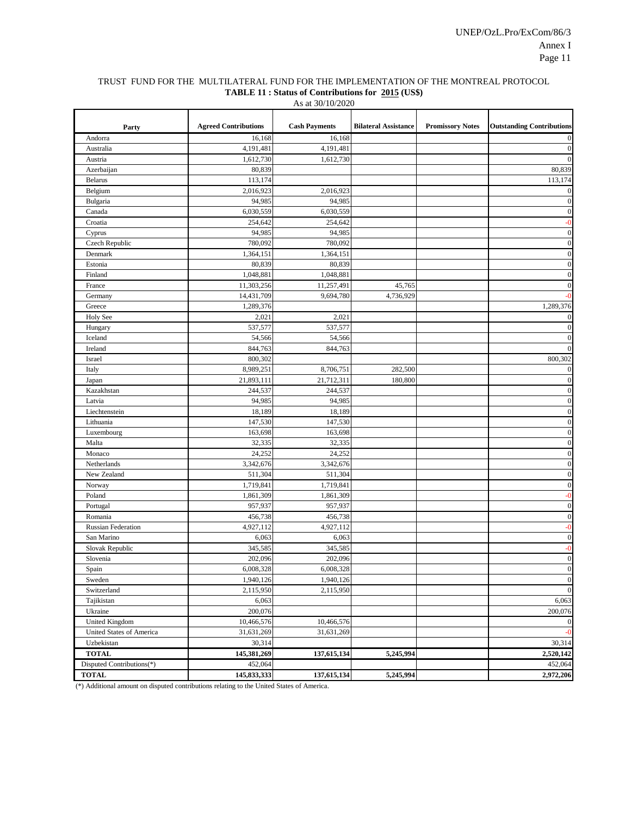#### TRUST FUND FOR THE MULTILATERAL FUND FOR THE IMPLEMENTATION OF THE MONTREAL PROTOCOL **TABLE 11 : Status of Contributions for 2015 (US\$)**

| Party                                     | <b>Agreed Contributions</b> | <b>Cash Payments</b> | <b>Bilateral Assistance</b> | <b>Promissory Notes</b> | <b>Outstanding Contributions</b> |
|-------------------------------------------|-----------------------------|----------------------|-----------------------------|-------------------------|----------------------------------|
| Andorra                                   | 16,168                      | 16,168               |                             |                         | $\boldsymbol{0}$                 |
| Australia                                 | 4,191,481                   | 4,191,481            |                             |                         | $\boldsymbol{0}$                 |
| Austria                                   | 1,612,730                   | 1,612,730            |                             |                         | $\boldsymbol{0}$                 |
| Azerbaijan                                | 80,839                      |                      |                             |                         | 80,839                           |
| <b>Belarus</b>                            | 113,174                     |                      |                             |                         | 113,174                          |
| Belgium                                   | 2,016,923                   | 2,016,923            |                             |                         | $\boldsymbol{0}$                 |
| Bulgaria                                  | 94,985                      | 94,985               |                             |                         | $\boldsymbol{0}$                 |
| Canada                                    | 6,030,559                   | 6,030,559            |                             |                         | $\boldsymbol{0}$                 |
| Croatia                                   | 254,642                     | 254,642              |                             |                         | $-0$                             |
| Cyprus                                    | 94,985                      | 94,985               |                             |                         | $\boldsymbol{0}$                 |
| Czech Republic                            | 780,092                     | 780,092              |                             |                         | $\boldsymbol{0}$                 |
| Denmark                                   | 1,364,151                   | 1,364,151            |                             |                         | $\boldsymbol{0}$                 |
| Estonia                                   | 80,839                      | 80,839               |                             |                         | $\boldsymbol{0}$                 |
| Finland                                   | 1,048,881                   | 1,048,881            |                             |                         | $\boldsymbol{0}$                 |
| France                                    | 11,303,256                  | 11,257,491           | 45,765                      |                         | $\boldsymbol{0}$                 |
| Germany                                   | 14,431,709                  | 9,694,780            | 4,736,929                   |                         | $-0$                             |
| Greece                                    | 1,289,376                   |                      |                             |                         | 1,289,376                        |
| <b>Holy See</b>                           | 2,021                       | 2,021                |                             |                         | $\boldsymbol{0}$                 |
| Hungary                                   | 537,577                     | 537,577              |                             |                         | $\boldsymbol{0}$                 |
| Iceland                                   | 54,566                      | 54,566               |                             |                         | $\boldsymbol{0}$                 |
| Ireland                                   | 844,763                     | 844,763              |                             |                         | $\boldsymbol{0}$                 |
| Israel                                    | 800,302                     |                      |                             |                         | 800,302                          |
| Italy                                     | 8,989,251                   | 8,706,751            | 282,500                     |                         | $\boldsymbol{0}$                 |
| Japan                                     | 21,893,111                  | 21,712,311           | 180,800                     |                         | $\boldsymbol{0}$                 |
| Kazakhstan                                | 244,537                     | 244,537              |                             |                         | $\boldsymbol{0}$                 |
| Latvia                                    | 94,985                      | 94,985               |                             |                         | $\boldsymbol{0}$                 |
| Liechtenstein                             | 18,189                      | 18,189               |                             |                         | $\boldsymbol{0}$                 |
| Lithuania                                 | 147,530                     | 147,530              |                             |                         | $\boldsymbol{0}$                 |
| Luxembourg                                | 163,698                     | 163,698              |                             |                         | $\boldsymbol{0}$                 |
| Malta                                     | 32,335                      | 32,335               |                             |                         | $\boldsymbol{0}$                 |
| Monaco                                    | 24,252                      | 24,252               |                             |                         | $\boldsymbol{0}$                 |
| Netherlands                               | 3,342,676                   | 3,342,676            |                             |                         | $\boldsymbol{0}$                 |
| New Zealand                               | 511,304                     | 511,304              |                             |                         | $\boldsymbol{0}$                 |
| Norway                                    | 1,719,841                   | 1,719,841            |                             |                         | $\boldsymbol{0}$                 |
| Poland                                    | 1,861,309                   | 1,861,309            |                             |                         | $-0$                             |
| Portugal                                  | 957,937                     | 957,937              |                             |                         | $\boldsymbol{0}$                 |
| Romania                                   | 456,738                     | 456,738              |                             |                         | $\boldsymbol{0}$                 |
| <b>Russian Federation</b>                 | 4,927,112                   | 4,927,112            |                             |                         | $-0$                             |
| San Marino                                | 6,063                       | 6,063                |                             |                         | $\boldsymbol{0}$                 |
| Slovak Republic                           | 345,585                     | 345,585              |                             |                         | $-0$                             |
| Slovenia                                  | 202,096                     | 202,096              |                             |                         | $\boldsymbol{0}$                 |
| Spain                                     | 6,008,328                   | 6,008,328            |                             |                         | $\Omega$                         |
| Sweden                                    | 1,940,126                   | 1,940,126            |                             |                         | $\boldsymbol{0}$                 |
| Switzerland                               | 2,115,950                   | 2,115,950            |                             |                         | $\mathbf{0}$                     |
| Tajikistan                                | 6,063                       |                      |                             |                         | 6,063                            |
| Ukraine                                   | 200,076                     |                      |                             |                         | 200,076                          |
| United Kingdom                            | 10,466,576                  | 10,466,576           |                             |                         | $\boldsymbol{0}$                 |
| United States of America                  | 31,631,269                  | 31,631,269           |                             |                         | $-0$                             |
| Uzbekistan                                | 30,314                      |                      |                             |                         | 30,314                           |
| <b>TOTAL</b>                              | 145,381,269<br>452,064      | 137,615,134          | 5,245,994                   |                         | 2,520,142<br>452,064             |
| Disputed Contributions(*)<br><b>TOTAL</b> | 145,833,333                 | 137,615,134          | 5,245,994                   |                         | 2,972,206                        |
|                                           |                             |                      |                             |                         |                                  |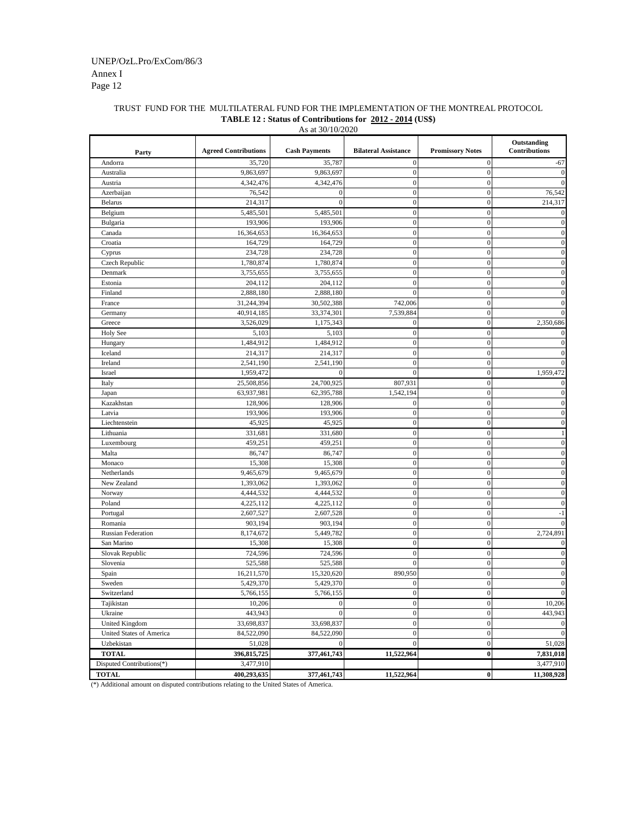# TRUST FUND FOR THE MULTILATERAL FUND FOR THE IMPLEMENTATION OF THE MONTREAL PROTOCOL **TABLE 12 : Status of Contributions for 2012 - 2014 (US\$)**

| As at 30/10/2020          |                             |                      |                             |                         |                              |  |
|---------------------------|-----------------------------|----------------------|-----------------------------|-------------------------|------------------------------|--|
| Party                     | <b>Agreed Contributions</b> | <b>Cash Payments</b> | <b>Bilateral Assistance</b> | <b>Promissory Notes</b> | Outstanding<br>Contributions |  |
| Andorra                   | 35,720                      | 35,787               | $\mathbf{0}$                | $\mathbf{0}$            | $-67$                        |  |
| Australia                 | 9,863,697                   | 9,863,697            | $\boldsymbol{0}$            | $\boldsymbol{0}$        | $\overline{0}$               |  |
| Austria                   | 4,342,476                   | 4,342,476            | $\mathbf{0}$                | $\boldsymbol{0}$        |                              |  |
| Azerbaijan                | 76,542                      | $\mathbf{0}$         | $\boldsymbol{0}$            | $\mathbf{0}$            | 76,542                       |  |
| <b>Belarus</b>            | 214,317                     | $\overline{0}$       | $\mathbf{0}$                | $\overline{0}$          | 214,317                      |  |
| Belgium                   | 5,485,501                   | 5,485,501            | $\boldsymbol{0}$            | $\boldsymbol{0}$        | 0                            |  |
| Bulgaria                  | 193,906                     | 193,906              | $\boldsymbol{0}$            | $\mathbf{0}$            | $\overline{0}$               |  |
| Canada                    | 16,364,653                  | 16,364,653           | $\boldsymbol{0}$            | $\boldsymbol{0}$        | $\overline{0}$               |  |
| Croatia                   | 164,729                     | 164,729              | $\mathbf{0}$                | $\boldsymbol{0}$        | $\overline{0}$               |  |
| Cyprus                    | 234,728                     | 234,728              | $\mathbf{0}$                | $\boldsymbol{0}$        | $\Omega$                     |  |
| Czech Republic            | 1,780,874                   | 1,780,874            | $\boldsymbol{0}$            | $\boldsymbol{0}$        | 0                            |  |
| Denmark                   | 3,755,655                   | 3,755,655            | $\mathbf{0}$                | $\boldsymbol{0}$        | $\Omega$                     |  |
| Estonia                   | 204,112                     | 204,112              | $\mathbf{0}$                | $\mathbf{0}$            |                              |  |
| Finland                   | 2,888,180                   | 2,888,180            | $\mathbf{0}$                | $\mathbf{0}$            |                              |  |
| France                    | 31,244,394                  | 30,502,388           | 742,006                     | $\boldsymbol{0}$        |                              |  |
| Germany                   | 40,914,185                  | 33,374,301           | 7,539,884                   | $\mathbf{0}$            |                              |  |
| Greece                    | 3,526,029                   | 1,175,343            | $\theta$                    | $\overline{0}$          | 2,350,686                    |  |
| <b>Holy See</b>           | 5,103                       | 5,103                | $\mathbf{0}$                | $\mathbf{0}$            |                              |  |
| Hungary                   | 1,484,912                   | 1,484,912            | $\boldsymbol{0}$            | $\boldsymbol{0}$        |                              |  |
| Iceland                   | 214,317                     | 214,317              | $\mathbf{0}$                | $\overline{0}$          |                              |  |
| Ireland                   | 2,541,190                   | 2,541,190            | $\mathbf{0}$                | $\mathbf{0}$            |                              |  |
| Israel                    | 1,959,472                   |                      | $\mathbf{0}$                | $\mathbf{0}$            | 1,959,472                    |  |
| Italy                     | 25,508,856                  | 24,700,925           | 807,931                     | $\boldsymbol{0}$        | 0                            |  |
| Japan                     | 63,937,981                  | 62,395,788           | 1,542,194                   | $\boldsymbol{0}$        | $\overline{0}$               |  |
| Kazakhstan                | 128,906                     | 128,906              | $\boldsymbol{0}$            | $\boldsymbol{0}$        | $\overline{0}$               |  |
| Latvia                    | 193,906                     | 193,906              | $\mathbf{0}$                | $\overline{0}$          | 0                            |  |
| Liechtenstein             | 45,925                      | 45,925               | $\boldsymbol{0}$            | $\boldsymbol{0}$        | 0                            |  |
| Lithuania                 | 331,681                     | 331,680              | $\mathbf{0}$                | $\overline{0}$          |                              |  |
| Luxembourg                | 459,251                     | 459,251              | $\boldsymbol{0}$            | $\boldsymbol{0}$        | 0                            |  |
| Malta                     | 86,747                      | 86,747               | $\mathbf{0}$                | $\overline{0}$          | $\overline{0}$               |  |
| Monaco                    | 15,308                      | 15,308               | $\boldsymbol{0}$            | $\boldsymbol{0}$        | $\overline{0}$               |  |
| Netherlands               | 9,465,679                   | 9,465,679            | $\mathbf{0}$                | $\boldsymbol{0}$        | $\overline{0}$               |  |
| New Zealand               | 1,393,062                   | 1,393,062            | $\boldsymbol{0}$            | $\boldsymbol{0}$        | $\overline{0}$               |  |
| Norway                    | 4,444,532                   | 4,444,532            | $\boldsymbol{0}$            | $\boldsymbol{0}$        | $\Omega$                     |  |
| Poland                    | 4,225,112                   | 4,225,112            | $\boldsymbol{0}$            | $\boldsymbol{0}$        |                              |  |
| Portugal                  | 2,607,527                   | 2,607,528            | $\boldsymbol{0}$            | $\boldsymbol{0}$        |                              |  |
| Romania                   | 903,194                     | 903,194              | $\mathbf{0}$                | $\mathbf{0}$            |                              |  |
| <b>Russian Federation</b> | 8,174,672                   | 5,449,782            | $\mathbf{0}$                | $\overline{0}$          | 2,724,891                    |  |
| San Marino                | 15,308                      | 15,308               | $\mathbf{0}$                | $\mathbf{0}$            |                              |  |
| Slovak Republic           | 724,596                     | 724,596              | $\boldsymbol{0}$            | $\boldsymbol{0}$        | 0                            |  |
| Slovenia                  | 525,588                     | 525,588              | $\mathbf{0}$                | $\boldsymbol{0}$        | 0                            |  |
| Spain                     | 16,211,570                  | 15,320,620           | 890,950                     | $\overline{0}$          |                              |  |
| Sweden                    | 5,429,370                   | 5,429,370            | $\boldsymbol{0}$            | $\overline{0}$          |                              |  |
| Switzerland               | 5,766,155                   | 5,766,155            | $\mathbf{0}$                | $\boldsymbol{0}$        | $\boldsymbol{0}$             |  |
| Tajikistan                | 10,206                      | $\mathbf{0}$         | $\boldsymbol{0}$            | $\boldsymbol{0}$        | 10,206                       |  |
| Ukraine                   | 443,943                     | $\theta$             | $\boldsymbol{0}$            | $\mathbf{0}$            | 443,943                      |  |
| <b>United Kingdom</b>     | 33,698,837                  | 33,698,837           | $\boldsymbol{0}$            | $\boldsymbol{0}$        |                              |  |
| United States of America  | 84,522,090                  | 84,522,090           | $\boldsymbol{0}$            | $\boldsymbol{0}$        | $\boldsymbol{0}$             |  |
| Uzbekistan                | 51,028                      | $\mathbf{0}$         | $\mathbf{0}$                | $\boldsymbol{0}$        | 51,028                       |  |
| <b>TOTAL</b>              | 396,815,725                 | 377,461,743          | 11,522,964                  | $\bf{0}$                | 7,831,018                    |  |
| Disputed Contributions(*) | 3,477,910                   |                      |                             |                         | 3,477,910                    |  |
| <b>TOTAL</b>              | 400,293,635                 | 377,461,743          | 11,522,964                  | $\boldsymbol{0}$        | 11,308,928                   |  |
|                           |                             |                      |                             |                         |                              |  |